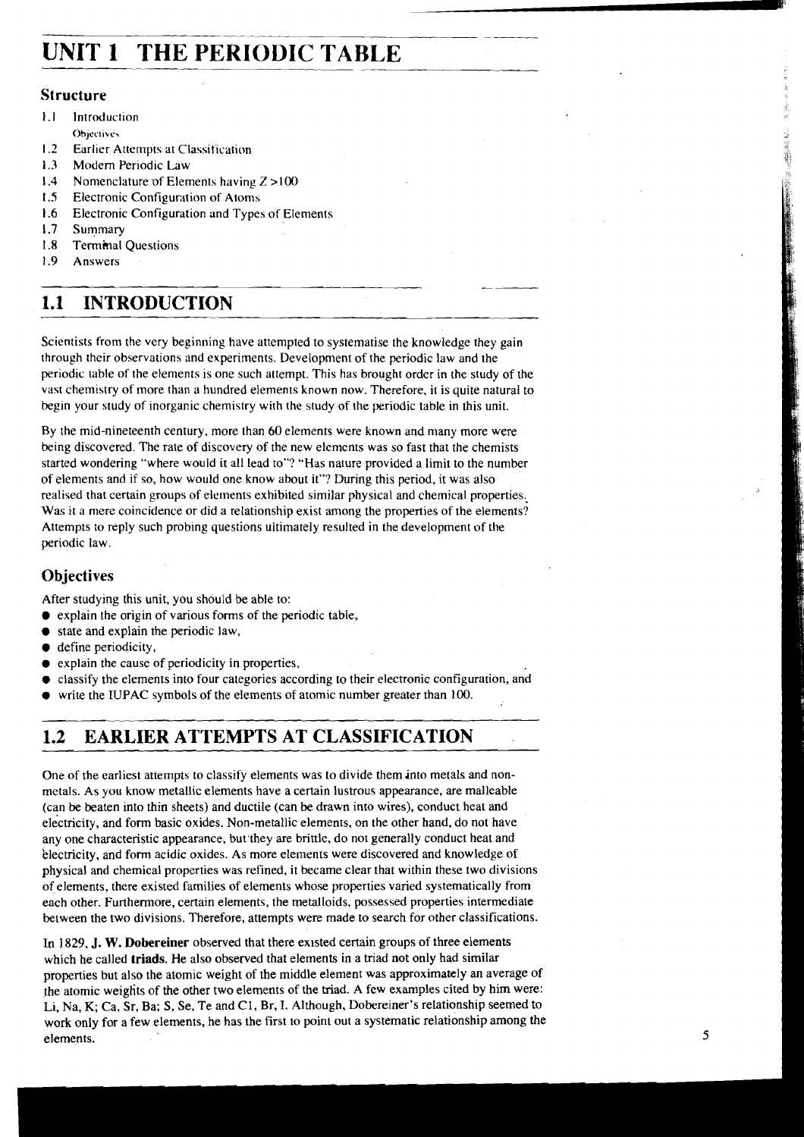# **UNIT 1 THE PERIODIC TABLE**

## **Structure**

- $1.1$ Introduction **Ohjcclivc\**
- $1.2$ Earlier Attempts at Classification
- $1.3$ Modem Periodic Law
- $1.4$ Nomenclature of Elements having Z >100
- $1.5$ Electronic Configuration of Atoms
- $1.6$ Electronic Configuration and Types of Elements
- $1.7$ Summary
- $18$ Terminal Questions
- $1.9$ Answers

### **INTRODUCTION**   $1.1$

Scientists from the very beginning have attempted to systematise the knowledge they gain through their observations and experiments. Development of the periodic law and the periodic table of the elements is one such attempt. This has brought order in the study of the vast chemistry of more than a hundred elements known now. Therefore, it is quite natural to begin your study of inorganic chemistry with the study of the periodic table in this unit.

By the mid-nineteenth century, more than 60 elements were known and many more were being discovered. The rate of discovery of the new elements was so fast that the chemists started wondering "where would it all lead to"? "Has nature provided a limit to the number of elements and if so, how would one know about it"? During this period, it was also realised that certain groups of elements exhibited similar physical and chemical properties, Was it a mere coincidence or did a relationship exist among the properties of the elements? Attempts to reply such probing questions ultimately resulted in the development of the periodic law.

# **Objectives**

After studying this unit, you should be able to:

- $\bullet$  explain the origin of various forms of the periodic table,
- $\bullet$  state and explain the periodic law,
- $\bullet$  define periodicity,
- $\bullet$  explain the cause of periodicity in properties,
- classify the elements into four categories according to their electronic configuration, and
- write the IUPAC symbols of the elements of atomic number greater than 100.

# **1.2 EARLIER ATTEMPTS AT CLASSIFICATION**

One of the earliest attempts to classify elements was to divide them into metals and nonmetals. As you know metallic elements have a certain lustrous appearance, are malleable (can be beaten into thin sheets) and ductile (can be drawn into wires), conduct heat and electricity, and form basic oxides. Non-metallic elements, on the other hand, do not have any one characteristic appearance, but'they are brittle, do not generally conduct heat and 'electricity, and form acidic oxides. As more elements were discovered and knowledge of physical and chemical properties was refined, it became clear that within these two divisions of elements, there existed families of elements whose properties varied systematically from each other. Furthermore, certain elements, the metalloids, possessed properties intermediate between the two divisions. Therefore, attempts were made to search for other classifications.

In 1829, J. W. **Dobereiner** observed that there existed certain groups of three elements which he called **triads**. He also observed that elements in a triad not only had similar properties but also the atomic weight of the middle element was approximately an average of the atomic weights of the other two elements of the triad. A few examples cited by him were:<br>Li, Na, K; Ca, Sr, Ba; S, Se, Te and C1, Br, I. Although, Dobereiner's relationship seemed to work only for a few elements, he has the first to point out a systematic relationship among the elements.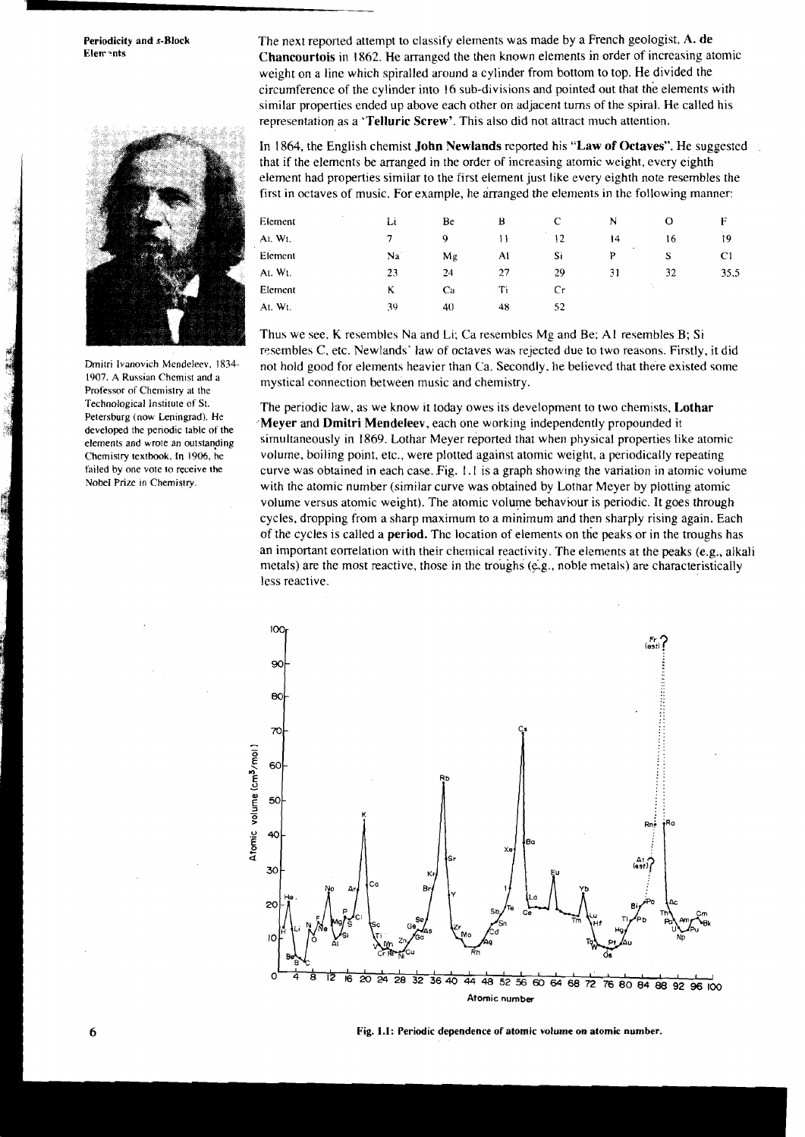

Technological Institute of **St.**  Petersburg (now Leningrad). He developed the periodic table of the elements and wrote an outstanging Chemistry textbook. In 1906, he failed by one vote to receive the

**Periodicity and s-Block The next reported attempt to classify elements was made by a French geologist, A. de <br>Elements in order of increasing at Chancourtois** in 1862. He arranged the then known elements in order of increasing atomic weight on a line which spiralled around a cylinder from bottom to top. He divided the circumference of the cylinder into 16 sub-divisions and pointed out that the elements with similar properties ended up above each other on adjacent turns of the spiral. He called his representation as a **'Telluric Screw'.** This also did not attract much attention.

> In 1864, the English chemist **John Newlands** reported his **"L,aw** of **Octaves".** He suggested that if the elements be arranged in the order of increasing atomic weight, every eighth element had properties similar to the first element just like every eighth note resembles the first in octaves of music. For example, he arranged the elements in the following manner:

| Element           | $\sim$ | Li | Be | В  | C  | N              |    | Е           |
|-------------------|--------|----|----|----|----|----------------|----|-------------|
| At. Wt.<br>$\sim$ |        | 7  | 9  | ۱۱ | 12 | 14             | 16 | 19          |
| Element           |        | Na | Mg | Ai | Si | $\bullet$<br>Þ | S  | $_{\rm C1}$ |
| At. Wt.           |        | 23 | 24 | 27 | 29 | 31             | 32 | 35.5        |
| Element           |        | ĸ  | Ca | Ti | Сr |                |    |             |
| At. Wt.           |        | 39 | 40 | 48 | 52 |                |    |             |

Thus we see. K resembles Na and Li; Ca resembles Mg and Be: A1 resembles B; Si resembles C. etc. Newlands' law of octaves was rejected due to two reasons. Firstly, it did Dmitri Ivanovich Mendeleev, 1834 not hold good for elements heavier than Ca. Secondly, he believed that there existed some 1907. A Russian Chemistry at the mystical connection between music and chemistry.

The periodic law, as we know it today owes its development to two chemists, **1,othar ,Meyer** and **Dmitri Mendeleev,** each one working independently propounded it simultaneously in 1869. Lothar Meyer reported that when physical properties like atomic volume, boiling point. etc., were plotted against atomic weight, a periodically repeating failed by one vote to receive the curve was obtained in each case. Fig. 1.1 is a graph showing the variation in atomic volume<br>Notel Prize in Chemistry. with the atomic number (similar curve was obtained by Lothar Meyer by plotting atomic volume versus atomic weight). The atomic volume behavhur is periodic. It goes through cycles, dropping from a sharp maximum to a minimum and then sharply rising again. Each of the cycles is called a **period.** The location of elements on the peaks or in the troughs has an important correlation with their chemical reactivity. The elements at the peaks (e.g., alkali metals) are the most reactive, those in the troughs (e.g., noble metals) are characteristically less reactive.



**Fig. 1.1: Periodic dependence of atomic volume on atomic number.**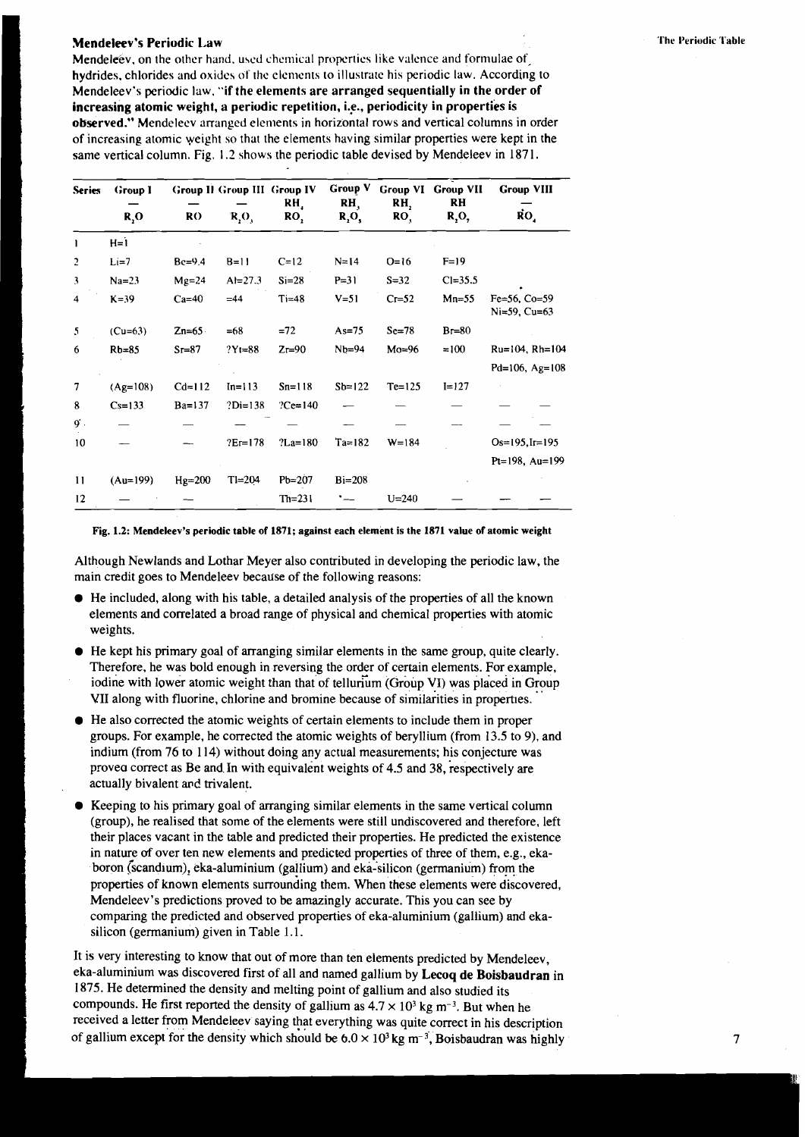### Mendeleev's Periodic Law

Mendeleev, on the other hand, used chemical properties like valence and formulae of hydrides, chlorides and oxides of the elements to illustrate his periodic law. According to Mendeleev's periodic law. "if the elements are arranged sequentially in the order of increasing atomic weight, a periodic repetition, i.e., periodicity in properties is observed." Mendelecv arranged elenients in horizontal rows and vertical columns in order of increasing atomic weight so that the elements having similar properties were kept in the same vertical column. Fig. 1.2 shows the periodic table devised by Mendeleev in 187 1.

| <b>Series</b> | <b>Group I</b><br>R, O | RO       | $R_1O_3$   | <b>Group II Group III Group IV</b><br>RH,<br>RO <sub>1</sub> | Group V<br>RH,<br>R,O, | <b>Group VI</b><br>RH,<br>RO, | <b>Group VII</b><br>RH<br>$R_2O_7$ | <b>Group VIII</b><br>$\dot{R}O_{4}$ |
|---------------|------------------------|----------|------------|--------------------------------------------------------------|------------------------|-------------------------------|------------------------------------|-------------------------------------|
| ı             | $H = 1$                |          |            |                                                              |                        |                               |                                    |                                     |
| 2             | $Li=7$                 | $Be=9.4$ | $B=11$     | $C=12$                                                       | $N = 14$               | $Q=16$                        | $F=19$                             |                                     |
| 3             | $Na=23$                | $Mg=24$  | $Al=27.3$  | $Si = 28$                                                    | $P = 31$               | $S = 32$                      | $Cl = 35.5$                        |                                     |
| 4             | $K = 39$               | $Ca=40$  | $=44$      | $Ti=48$                                                      | $V = 51$               | $C = 52$                      | $Mn=55$                            | $Fe=56$ , $Co=59$<br>Ni=59, Cu=63   |
| 5             | $(Cu=63)$              | $Zn=65$  | $=68$      | $=72$                                                        | $As=75$                | $Sc=78$                       | $Br=80$                            |                                     |
| 6             | $Rb=85$                | $Sr=87$  | $?Yt = 88$ | $Zr=90$                                                      | $Nb = 94$              | $Mo=96$                       | $=100$                             | $Ru=104$ , $Rh=104$                 |
|               |                        |          |            |                                                              |                        |                               |                                    | Pd=106, Ag=108                      |
| 7             | $(Ag=108)$             | $Cd=112$ | $In = 113$ | $Sn = 118$                                                   | $Sb=122$               | $Te=125$                      | $I = 127$                          |                                     |
| 8             | $Cs=133$               | $Ba=137$ | $?Di=138$  | $?Ce=140$                                                    |                        |                               |                                    |                                     |
| g.            |                        |          |            |                                                              |                        |                               |                                    |                                     |
| 10            |                        |          | $?Er=178$  | $?$ La=180                                                   | $Ta=182$               | $W = 184$                     |                                    | $Os=195, Ir=195$                    |
|               |                        |          |            |                                                              |                        |                               |                                    | Pt=198, Au=199                      |
| $\mathbf{11}$ | $(Au=199)$             | $Hg=200$ | $T = 204$  | $Pb = 207$                                                   | $Bi = 208$             |                               |                                    |                                     |
| 12            |                        |          |            | $Th=231$                                                     |                        | $U = 240$                     |                                    |                                     |

**Fig. 1.2: Mendeleev's periodic table of 1871; against each element is the 1871 value of atomic weight** 

Although Newlands and Lothar Meyer also contributed in developing the periodic law, the main credit goes to Mendeleev because of the following reasons:

- $\bullet$  He included, along with his table, a detailed analysis of the properties of all the known elements and correlated a broad range of physical and chemical properties with atomic weights.
- He kept his primary goal of arranging similar elements in the same group, quite clearly. Therefore, he was bold enough in reversing the order of certain elements. For example, iodine with lower atomic weight than that of tellurum (Group VI) was placed in Group VII along with fluorine, chlorine and bromine because of similarities in properties.
- He also corrected the atomic weights of certain elements to include them in proper groups. For example, he corrected the atomic weights of beryllium (from 13.5 to 9), and indium (from 76 to 114) without doing any actual measurements; his conjecture was provea correct as Be and In with equivalent weights of 4.5 and 38, respectively are actually bivalent and trivalent.
- Keeping to his primary goal of arranging similar elements in the same vertical column (group), he realised that some of the elements were still undiscovered and therefore, left their places vacant in the table and predicted their properties. He predicted the existence in nature of over ten new elements and predicted properties of three of them, e.g., ekaboron Gcandium), eka-aluminium (gallium) and eka-silicon (germanium) from the properties of known elements surrouniing them. When these elements were discovered, Mendeleev's predictions proved to be amazingly accurate. This you can see by comparing the predicted and observed properties of eka-aluminium (gallium) and ekasilicon (germanium) given in Table 1.1.

It is very interesting to know that out of more than ten elements predicted by Mendeleev, eka-aluminium was discovered first of all and named gallium by Lecoq de Boisbaudran in 1875. He determined the density and melting point of gallium and also studied its compounds. He first reported the density of gallium as  $4.7 \times 10^3$  kg m<sup>-3</sup>. But when he received a letter from Mendeleev saying that everything was quite correct in his description of gallium except for the density which should be  $6.0 \times 10^3$  kg m<sup>-3</sup>, Boisbaudran was highly 7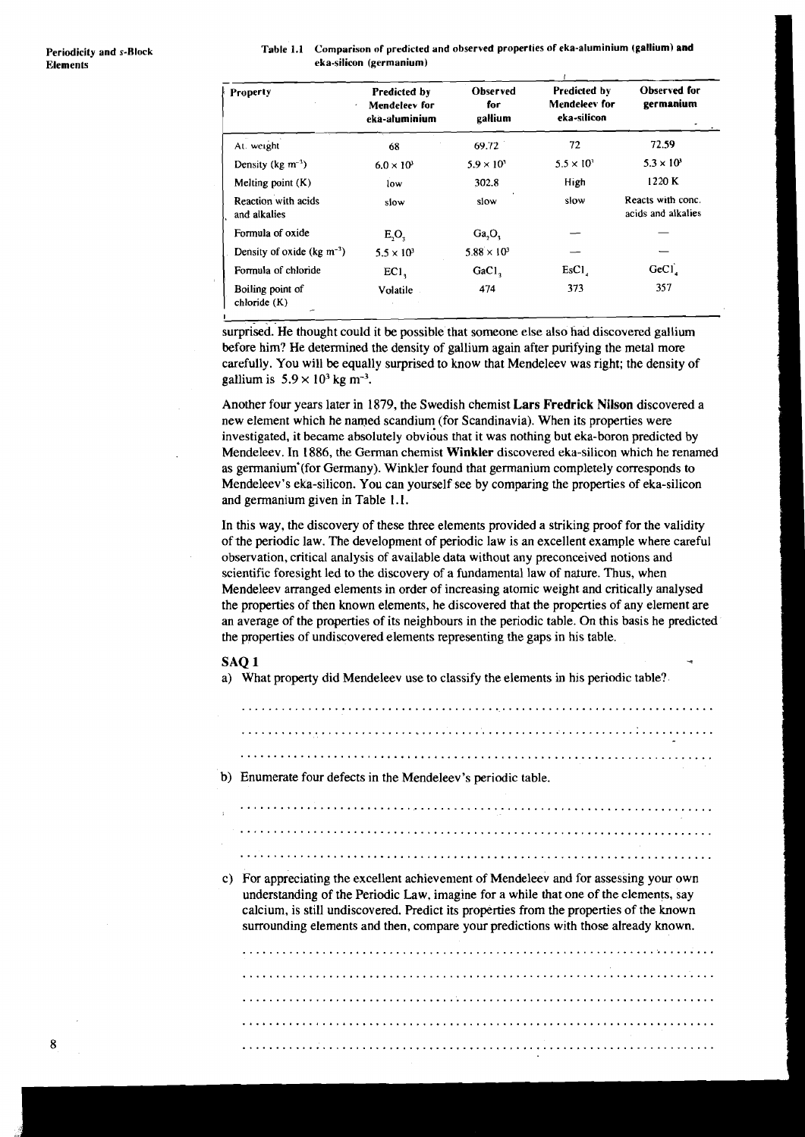| Table 1.1 Comparison of predicted and observed properties of eka-aluminium (gallium) and |
|------------------------------------------------------------------------------------------|
| eka-silicon (germanium)                                                                  |

| Property                                   | Predicted by<br>Mendeleev for<br>$\epsilon$<br>eka-aluminium | <b>Observed</b><br>for<br>gallium | <b>Predicted by</b><br>Mendeleey for<br>eka-silicon | Observed for<br>germanium               |
|--------------------------------------------|--------------------------------------------------------------|-----------------------------------|-----------------------------------------------------|-----------------------------------------|
| At. weight                                 | 68                                                           | 69.72                             | 72                                                  | 72.59                                   |
| Density (kg $m^{-3}$ )                     | $6.0 \times 10^3$                                            | $5.9 \times 10^{3}$               | $5.5 \times 10^{3}$                                 | $5.3 \times 10^{3}$                     |
| Melting point $(K)$                        | low                                                          | 302.8                             | High                                                | 1220 K                                  |
| Reaction with acids<br>and alkalies        | slow                                                         | slow                              | slow                                                | Reacts with conc.<br>acids and alkalies |
| Formula of oxide                           | $E_2O_3$                                                     | Ga, O,                            |                                                     |                                         |
| Density of oxide ( $kg \, \text{m}^{-3}$ ) | $5.5 \times 10^3$                                            | $5.88 \times 10^3$                |                                                     |                                         |
| Formula of chloride                        | EC1                                                          | GaCl <sub>2</sub>                 | EsCl <sub>1</sub>                                   | GeCl <sub>4</sub>                       |
| Boiling point of<br>chloride (K)           | Volatile                                                     | 474                               | 373                                                 | 357                                     |

surprised. He thought could it be possible that someone else also had discovered gallium before him? He determined the density of gallium again after purifying the metal more carefully. You will be equally surprised to know that Mendeleev was right; the density of gallium is  $5.9 \times 10^3$  kg m<sup>-3</sup>.

Another four years later in 1879, the Swedish chemist **Lars Fredrick Nilson** discovered a new element which he named scandium (for Scandinavia). When its properties were investigated, it became absolutely obvidus that it was nothing but eka-boron predicted by Mendeleev. In 1886, the German chemist **Winkler** discovered eka-silicon which he renamed as germanium (for Germany). Winkler found that germanium completely corresponds to Mendeleev's eka-silicon. You can yourself see by comparing the properties of eka-silicon and germanium given in Table 1.1.

In this way, the discovery of these three elements provided a striking proof for the validity of the periodic law. The development of periodic law is an excellent example where careful observation, critical analysis of available data without any preconceived notions and scientific foresight led to the discovery of a fundamental law of nature. Thus, when Mendeleev arranged elements in order of increasing atomic weight and critically analysed the properties of then known elements, he discovered that the properties of any element are an average of the properties of its neighbours in the periodic table. On this basis he predicted the properties of undiscovered elements representing the gaps in his table.

# $\mathbf{S}\mathbf{A}\mathbf{Q}\mathbf{1}$

a) What property did Mendeleev use to classify the elements in his periodic table?

....................................................................... ....................................................................... ....................................................................... b) Enumerate four defects in the Mendeleev's periodic table.

.......................................................................

.......................................................................

.......................................................................

c) For appreciating the excellent achievement of Mendeleev and for assessing your own understanding of the Periodic Law, imagine for a while that one of the elements, say calcium, is still undiscovered. Predict its properties from the properties of the known surrounding elements and then, compare your predictions with those already known.

....................................................................... ....................................................................... ....................................................................... .......................................................................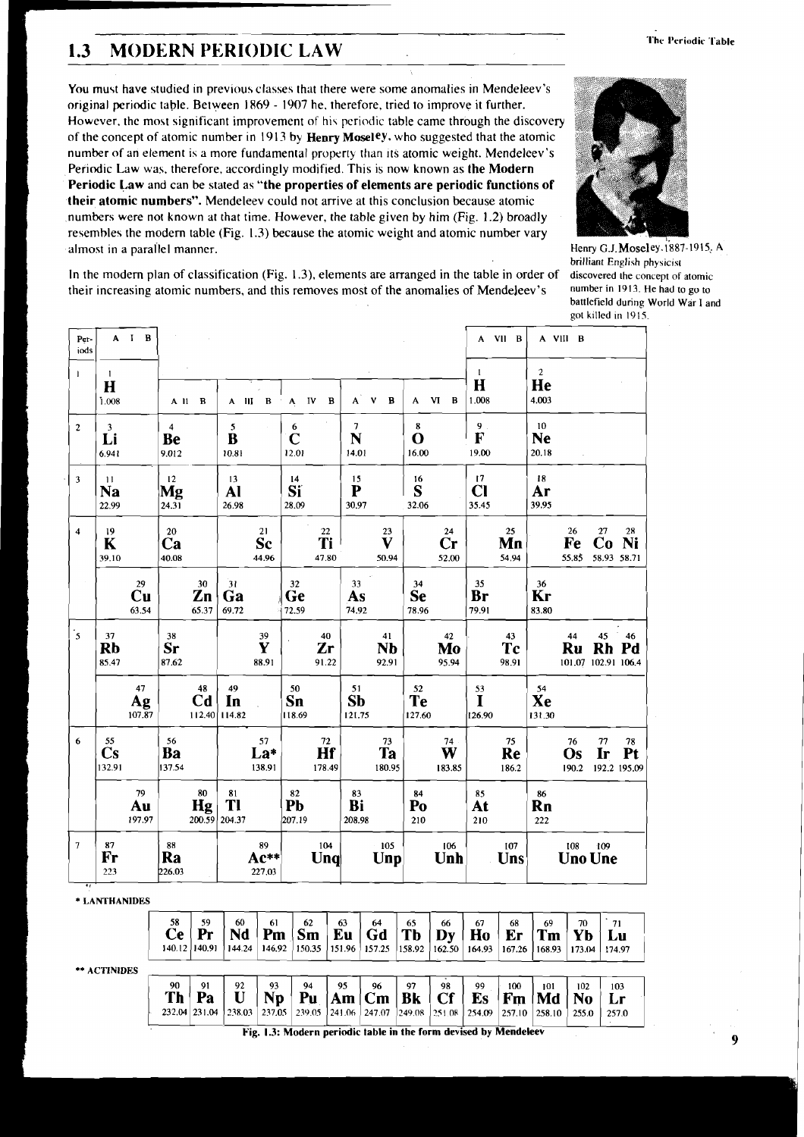### **The Periodic Table**

# **l'hc l'eriodic '1 1.3 MODERN PERIODIC LAW**

You must have studied in previous classes that there were some anomalies in Mendeleev's original periodic table. Between 1869 - 1907 he, therefore, tried to improve it further. However, the most significant improvement of his periodic table came through the discovery of the concept of atomic number in 191 3 by **Henry Moseley.** who suggested that the atomic number of an element is a more fundamental property than its atomic weight. Mendeleev's Periodic Law was. therefore, accordingly modified. This is now known as **the Modern Periodic Law** and can be stated as **"the properties of elements are periodic functions of their atomic numbers".** Mendeleev could not arrive at this conclusion because atomic ,numbers were not known at that time. However, the table given by him (Fig. 1.2) broadly resembles the modem table (Fig. 1.3) because the atomic weight and atomic number vary almost in a parallel manner. The manner of the manner of the Henry G.J. Moseley. 1887-1915; A



brilliant English physicist<br>discovered the concept of atomic battlefield during World War I and got killed in 1915.

In the modem plan of classification (Fig. 1.3), elements are arranged in the table in order of discovered **the** concept of atomic their increasing atomic numbers, and this removes most of the anomalies of Mendeleev's

|                         |                                        |             |                                       |                                               |                      |                                     |                      |                                 |                                         |                           |                                        |                                 |                                               |                             |                   |                          |                       | got killed in 1915.                    |                          |
|-------------------------|----------------------------------------|-------------|---------------------------------------|-----------------------------------------------|----------------------|-------------------------------------|----------------------|---------------------------------|-----------------------------------------|---------------------------|----------------------------------------|---------------------------------|-----------------------------------------------|-----------------------------|-------------------|--------------------------|-----------------------|----------------------------------------|--------------------------|
| Per-<br>iods            |                                        | $A$ $I$ $B$ |                                       |                                               |                      |                                     |                      |                                 |                                         |                           |                                        |                                 |                                               |                             | A VII B           |                          | A VIII B              |                                        |                          |
|                         | $\mathbf{I}$<br>$\mathbf H$            |             |                                       |                                               |                      |                                     |                      |                                 |                                         |                           |                                        |                                 |                                               | $\mathbf{1}$<br>$\bf{H}$    |                   | $\boldsymbol{2}$<br>He   |                       |                                        |                          |
|                         | 1.008                                  |             |                                       |                                               | A 11 B               |                                     | $A$ $II$ $B$         | IV<br>$\boldsymbol{\mathsf{A}}$ | В                                       | $\mathbf{A}^{\mathsf{T}}$ | $\mathbf B$<br>V                       | A                               | $\mathbf{V}$<br>B                             | 1.008                       |                   | 4.003                    |                       |                                        |                          |
| $\overline{\mathbf{c}}$ | $\overline{\mathbf{3}}$<br>Li<br>6.941 |             |                                       | $\overline{\mathbf{4}}$<br><b>Be</b><br>9.012 |                      | 5 <sub>1</sub><br>$\bf{B}$<br>10.81 |                      | 6<br>$\mathbf C$<br>12.01       |                                         | $\tau$<br>N<br>14.01      |                                        | $\bf 8$<br>$\mathbf O$<br>16.00 |                                               | $9$ .<br>F<br>19.00         |                   | 10<br><b>Ne</b><br>20.18 |                       |                                        |                          |
| 3                       | $\overline{11}$<br><b>Na</b><br>22.99  |             |                                       | 12<br>Mg<br>24.31                             |                      | 13<br>Al<br>26.98                   |                      | 14<br>Sï<br>28.09               |                                         | 15<br>${\bf P}$<br>30.97  |                                        | 16<br>S<br>32.06                |                                               | 17<br>$CI$<br>35.45         |                   | 18<br>Ar<br>39.95        |                       |                                        |                          |
| 4                       | 19<br>K<br>39.10                       |             |                                       | ${\bf 20}$<br>Ca<br>40.08                     |                      |                                     | 21<br>Sc<br>44.96    |                                 | $22\,$<br>Ti<br>47.80                   |                           | 23<br>$\overline{\mathbf{V}}$<br>50.94 |                                 | ${\bf 24}$<br>$\mathbf{C}\mathbf{r}$<br>52.00 |                             | 25<br>Mn<br>54.94 |                          | 26<br>Fe<br>55.85     | 27<br>Co<br>58.93 58.71                | 28<br>Ni                 |
|                         |                                        |             | 29<br>$\mathbf{C}\mathbf{u}$<br>63.54 |                                               | 30<br>Zn<br>65.37    | 31<br>Ga<br>69.72                   |                      | $32\,$<br>Ge<br>72.59           |                                         | 33<br>As<br>74.92         |                                        | 34<br><b>Se</b><br>78.96        |                                               | 35<br>Br<br>79.91           |                   | 36<br>Kr<br>83.80        |                       |                                        |                          |
| $\cdot$ <sub>5</sub>    | 37<br><b>Rb</b><br>85.47               |             |                                       | 38<br>Sr<br>87.62                             |                      |                                     | 39<br>Y<br>88.91     |                                 | 40<br>Zr<br>91.22                       |                           | 41<br><b>Nb</b><br>92.91               |                                 | 42<br>Mo<br>95.94                             |                             | 43<br>Tc<br>98.91 |                          | 44<br>Ru              | 45<br><b>Rh</b><br>101.07 102.91 106.4 | 46<br>Pd                 |
|                         |                                        |             | 47<br>Ag<br>107.87                    |                                               | 48<br>C <sub>d</sub> | 49<br>In<br>112.40 114.82           |                      | 50<br>Sn<br>118.69              |                                         | 51<br><b>Sb</b><br>121.75 |                                        | 52<br><b>Te</b><br>127.60       |                                               | 53<br>$\mathbf I$<br>126.90 |                   | 54<br>Xe<br>131.30       |                       |                                        |                          |
| 6                       | 55<br>$\mathbf{C}\mathbf{s}$<br>132.91 |             |                                       | 56<br>Ba<br>137.54                            |                      |                                     | 57<br>La*<br>138.91  |                                 | $\overline{Hf}^2$<br>178.49             |                           | 73<br>Ta<br>180.95                     |                                 | 74<br>W<br>183.85                             |                             | 75<br>Re<br>186.2 |                          | 76<br>Os<br>190.2     | 77<br>Ir                               | 78<br>Pt<br>192.2 195.09 |
|                         |                                        |             | 79<br>Au<br>197.97                    |                                               | 80<br>Hg             | $\frac{81}{11}$<br>200.59 204.37    |                      | 82<br>Pb<br>207.19              |                                         | 83<br>Bi<br>208.98        |                                        | 84<br>Po<br>210                 |                                               | 85<br>At<br>210             |                   | 86<br>Rn<br>222          |                       |                                        |                          |
| $\overline{7}$          | ${\bf 87}$<br>Fr<br>223                |             |                                       | ${\bf 88}$<br>Ra<br>226.03                    |                      |                                     | 89<br>Ac**<br>227.03 |                                 | 104<br>$\mathbf{U}\mathbf{n}\mathbf{q}$ |                           | $-105$<br>Unp                          |                                 | 106<br>Unh                                    |                             | 107<br>Uns        |                          | 108<br><b>Uno Une</b> | 109                                    |                          |

\* **LANTHANIDES** 

| ** ACTINIDES | 58<br>Ce        | 59<br>140.12 140.91       | 60<br>Nd<br>144.24 | 61<br>Pm<br>146.92 | 62<br>Sm | 63<br>Eu<br>$150.35$   151.96 | 64<br>Gd<br>157.25               | 65<br>Tb<br> 158.92 | 66<br>Dv<br>162.50 | 67<br>Ho<br>164.93                 | 68<br>Er<br>167.26  | 69<br>Tm<br>168.93  | 70<br>Yb<br>173.04 | 71<br>Lи<br>174.97 |  |
|--------------|-----------------|---------------------------|--------------------|--------------------|----------|-------------------------------|----------------------------------|---------------------|--------------------|------------------------------------|---------------------|---------------------|--------------------|--------------------|--|
|              | 90<br><b>Th</b> | 91<br>Pa<br>232.04 231.04 | 92<br>  238.03     | 93<br>Np<br>237.05 | 94<br>Pu | 95<br>Am<br>239.05 241.06     | 96<br>  <b>cm</b><br>247.07<br>. | 97<br>Bk<br>249.08  | 98<br>1251.08      | 99<br>Es<br>254.09<br><del>.</del> | 100<br>Fm<br>257.10 | 101<br>Md<br>258.10 | 102<br>255.0       | 103<br>257.0       |  |

**Fig. 1.3: Modern periodic table in the form devised by Mendeleev**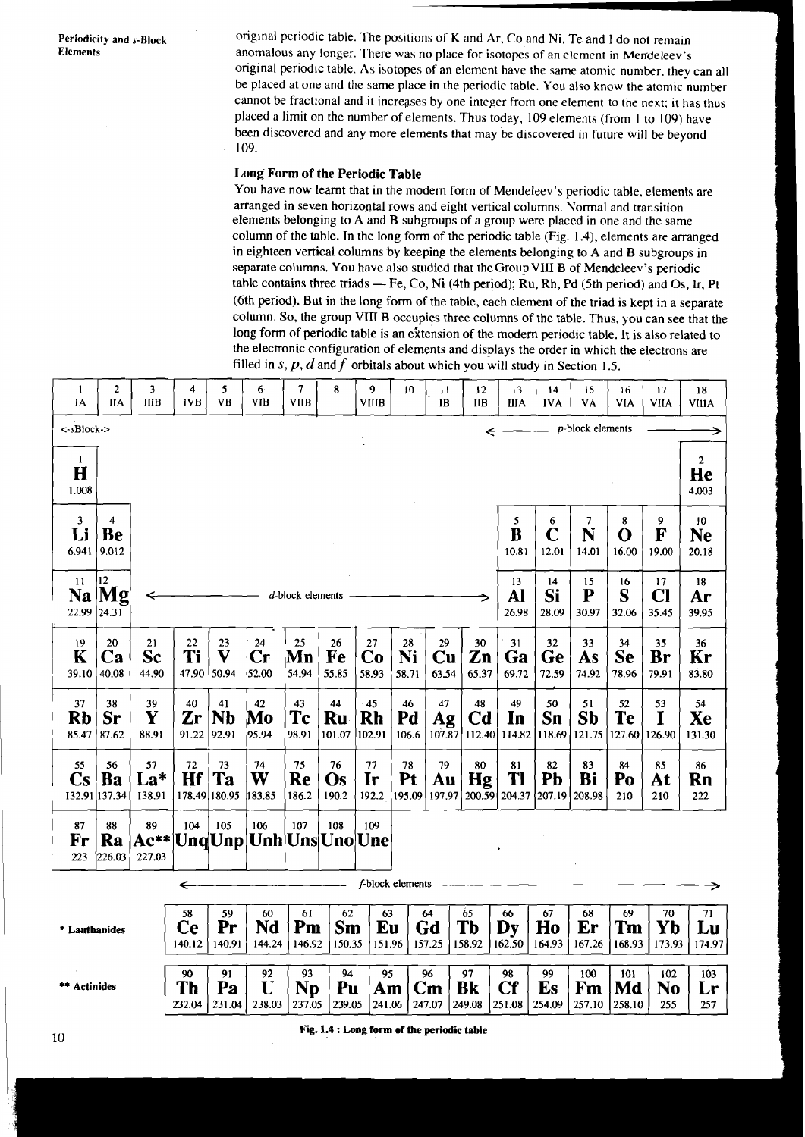Periodicity and s-Block original periodic table. The positions of **K** and Ar, Co and Ni, Te and 1 do not remain<br>Elements anomalous any longer. There was no place for instance of an algunari in Marchilasut. anomalous any longer. There was no place for isotopes of an element in Mendeleev's original periodic table. As isotopes of an element have the same atomic number. they can all be placed at one and the same place in the periodic table. You also know the atomic number cannot be fractional and it increases by one integer from one element to the next: it has thus placed a limit on the number of elements. Thus today, 109 elements (from I to 109) have been discovered and any more elements that may be discovered in future will be beyond 109.

## **Long Form of the Periodic Table**

You have now leamt that in the modem form of Mendeleev's periodic table, elements are arranged in seven horizontal rows and eight vertical columns. Normal and transition elements belonging to A and B subgroups of a group were placed in one and the same column of the table. In the long form of the periodic table (Fig. 1.4), elements are arranged in eighteen vertical columns by keeping the elements belonging to A and B subgroups in separate columns. You have also studied that theGroupVII1 B of Mendeleev's periodic in eighteen vertical columns by keeping the elements belonging to A and B subgroups in<br>separate columns. You have also studied that the Group VIII B of Mendeleev's periodic<br>table contains three triads — Fe, Co, Ni (4th pe (6th period). But in the long form of the table, each element of the triad is kept in a separate column. So, the group VIII B occupies three columns of the table. Thus, you can see that the long form of periodic table is an extension of the modern periodic table. It is also related to the electronic configuration of elements and displays the order in which the electrons are filled in  $s, p, d$  and  $f$  orbitals about which you will study in Section 1.5.

| -1<br>IΑ                                      | $\mathbf{2}$<br>IIA                 | 3<br><b>IIIB</b>      | 4<br><b>IVB</b>    | 5.<br>VB                              | 6<br>VIB                            | 7<br><b>VIIB</b>   | 8                         | 9<br><b>VIIIB</b>            | 10                | 11<br>IB                                                                             | 12<br>ПB                   | 13<br>ШA                                | 14<br><b>IVA</b>   | 15<br>VA                  | 16<br>VIA                  | 17<br><b>VIIA</b>            | 18<br><b>VIIIA</b>                   |
|-----------------------------------------------|-------------------------------------|-----------------------|--------------------|---------------------------------------|-------------------------------------|--------------------|---------------------------|------------------------------|-------------------|--------------------------------------------------------------------------------------|----------------------------|-----------------------------------------|--------------------|---------------------------|----------------------------|------------------------------|--------------------------------------|
| <-sBlock->                                    |                                     |                       |                    |                                       |                                     |                    |                           |                              |                   |                                                                                      |                            |                                         |                    | $p$ -block elements       |                            |                              |                                      |
| $\mathbf{1}$<br>H<br>1.008                    |                                     |                       |                    |                                       |                                     |                    |                           |                              |                   |                                                                                      |                            |                                         |                    |                           |                            |                              | $\mathbf{2}$<br>He<br>4.003          |
| 3<br>Li<br>6.941 9.012                        | $\overline{4}$<br>Be                |                       |                    |                                       |                                     |                    |                           |                              |                   |                                                                                      |                            | 5<br>B<br>10.81                         | 6<br>C<br>12.01    | 7<br>N<br>14.01           | 8<br>O<br>16.00            | 9<br>F<br>19.00              | 10 <sup>°</sup><br>Ne<br>20.18       |
| 11<br>22.99 24.31                             | 12<br>$\mathbf{Na}$ $ \mathbf{Mg} $ | ←                     |                    |                                       |                                     | d-block elements   |                           |                              |                   |                                                                                      |                            | 13<br>Al<br>26.98                       | 14<br>Si<br>28.09  | 15<br>P<br>30.97          | 16<br>S<br>32.06           | 17<br>Cl<br>35.45            | 18<br>Ar<br>39.95                    |
| 19<br>K<br>39.10                              | 20<br>Ca<br>40.08                   | 21<br>Sc<br>44.90     | 22<br>Ti<br>47.90  | 23<br>$\mathbf{V}$<br>50.94           | 24<br>$\mathbf{Cr}$<br>52.00        | 25<br>Mn<br>54.94  | 26<br>Fe<br>55.85         | 27<br>Co<br>58.93            | 28<br>Ni<br>58.71 | 29<br>$\mathbf{C}\mathbf{u}$<br>63.54                                                | 30<br>Zn<br>65.37          | 31<br>Ga<br>69.72                       | 32<br>Ge<br>72.59  | 33<br>As<br>74.92         | 34<br><b>Se</b><br>78.96   | 35<br>Br<br>79.91            | 36<br>Kr<br>83.80                    |
| 37<br>Rb<br>85.47                             | 38<br><b>Sr</b><br>87.62            | 39<br>Y<br>88.91      | 40<br>Zr<br>91.22  | 41<br>$\mathbf{N}\mathbf{b}$<br>92.91 | 42<br>Mo<br>95.94                   | 43<br>Tc<br>98.91  | 44<br>Ru<br>101.07        | $-45$<br><b>Rh</b><br>102.91 | 46<br>Pd<br>106.6 | 47<br>Ag<br>107.87                                                                   | 48<br>C <b>d</b><br>112.40 | 49<br>In<br>114.82                      | 50<br>Sn<br>118.69 | 51<br><b>Sb</b><br>121.75 | 52<br>Te<br>127.60         | 53<br>I<br>126.90            | 54<br>Xe<br>131.30                   |
| 55<br>$\mathbf{C}\mathbf{s}$<br>132.91 137.34 | 56<br>Ba                            | 57<br>$La*$<br>138.91 | 72<br>Hf           | 73<br><b>Ta</b><br>178.49 180.95      | 74<br>W<br>183.85                   | 75<br>Re<br>186.2  | 76<br><b>Os</b><br>190.2  | 77<br>Ir<br>192.2            | 78<br>Pt          | 79<br>Au                                                                             | 80<br>Hg                   | 81<br>Tl<br>195.09 197.97 200.59 204.37 | 82<br>Pb<br>207.19 | 83<br>Bi<br>208.98        | 84<br>Po<br>210            | 85<br>At<br>210              | 86<br>Rn<br>222                      |
| 87<br>Fr<br>223                               | 88<br>Ra<br>226.03                  | 89<br>227.03          | 104                | 105                                   | 106<br>Ac** Unq Unp Unh Uns Uno Une | 107                | 108                       | 109                          |                   |                                                                                      |                            |                                         |                    |                           |                            |                              |                                      |
|                                               |                                     |                       | ←                  |                                       |                                     |                    |                           |                              | f-block elements  |                                                                                      |                            |                                         |                    |                           |                            |                              |                                      |
| * Lanthanides                                 |                                     |                       | 58<br>Ce<br>140.12 | 59<br>Pr<br>140.91                    | 60<br>Nd<br>144.24                  | 61<br>Pm<br>146.92 | 62<br>Sm<br>150.35        | 63<br>Eu<br>151.96           |                   | 64<br>Gd<br>157.25                                                                   | 65<br><b>Tb</b><br>158.92  | 66<br>Dy<br>162.50                      | 67<br>Ho<br>164.93 | $68 -$<br>Er<br>167.26    | 69<br>Tm<br>168.93         | 70<br>Yb<br>173.93           | 71<br>Lu<br>174.97                   |
| ** Actinides                                  |                                     |                       | 90<br>Th<br>232.04 | 91<br>Pa                              | 92<br>U<br>$231.04$ 238.03          | 93<br><b>Np</b>    | 94<br>Pu<br>237.05 239.05 | 95<br>Am                     |                   | 96<br>$\mathbf{C}\mathbf{m}$<br>$241.06$ $\left(247.07\right)$ $\left(249.08\right)$ | 97<br><b>Bk</b>            | 98<br>Cf<br>251.08                      | 99<br>Es<br>254.09 | 100<br>Fm                 | 101<br>Md<br>257.10 258.10 | 102<br>N <sub>0</sub><br>255 | 103<br>$\mathbf{L}\mathbf{r}$<br>257 |

 $10$ 

Fig. 1.4 : Long form of the periodic table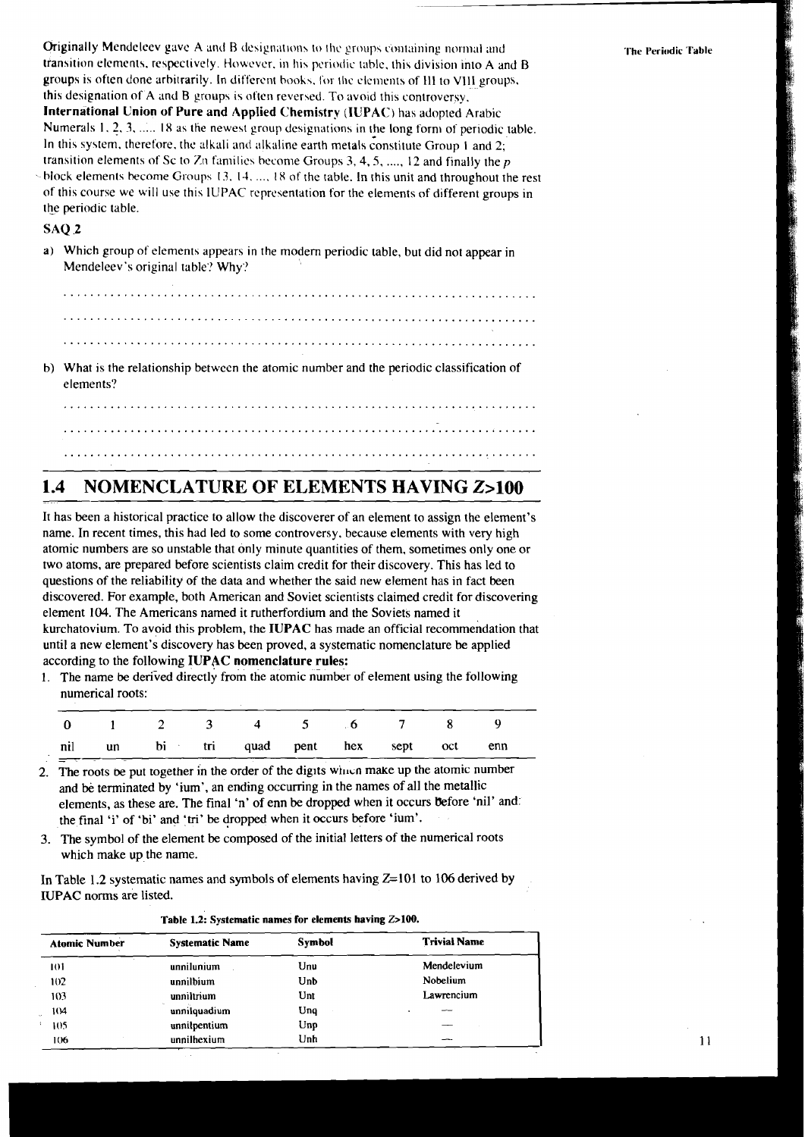Originally Mendeleev gave A and B designations to the groups containing normal and transition elements, respectively. However, in his periodic table, this division into A and B groups is often done arbitrarily. In different books, for the elements of III to VIII groups, this designation of A and B groups is often reversed. To avoid this controversy, International Union of Pure and Applied Chemistry (IUPAC) has adopted Arabic Numerals 1, 2, 3, ..... 18 as the newest group designations in the long form of periodic table. In this system, therefore, the alkali and alkaline earth metals constitute Group 1 and 2; transition elements of Sc to Zn families become Groups 3, 4, 5, ..., 12 and finally the  $p$ 

-block elements become Groups 13, 14, ..., 18 of the table. In this unit and throughout the rest of this course we will use this IUPAC representation for the elements of different groups in the periodic table.

## **SAO 2**

a) Which group of elements appears in the modern periodic table, but did not appear in Mendeleev's original table? Why?

b) What is the relationship between the atomic number and the periodic classification of elements?

#### 1.4 **NOMENCLATURE OF ELEMENTS HAVING Z>100**

It has been a historical practice to allow the discoverer of an element to assign the element's name. In recent times, this had led to some controversy, because elements with very high atomic numbers are so unstable that only minute quantities of them, sometimes only one or two atoms, are prepared before scientists claim credit for their discovery. This has led to questions of the reliability of the data and whether the said new element has in fact been discovered. For example, both American and Soviet scientists claimed credit for discovering element 104. The Americans named it rutherfordium and the Soviets named it kurchatovium. To avoid this problem, the IUPAC has made an official recommendation that until a new element's discovery has been proved, a systematic nomenclature be applied according to the following IUPAC nomenclature rules:

1. The name be derived directly from the atomic number of element using the following numerical roots:

|  |  |                                          |  |  | 0 1 2 3 4 5 6 7 8 9 |
|--|--|------------------------------------------|--|--|---------------------|
|  |  | nil un bi tri quad pent hex sept oct enn |  |  |                     |

- The roots be put together in the order of the digits which make up the atomic number  $\overline{2}$ . and be terminated by 'ium', an ending occurring in the names of all the metallic elements, as these are. The final 'n' of enn be dropped when it occurs before 'nil' and: the final 'i' of 'bi' and 'tri' be dropped when it occurs before 'ium'.
- 3. The symbol of the element be composed of the initial letters of the numerical roots which make up the name.

In Table 1.2 systematic names and symbols of elements having  $Z=101$  to 106 derived by IUPAC norms are listed.

| <b>Atomic Number</b> | <b>Systematic Name</b> | Symbol | <b>Trivial Name</b> |
|----------------------|------------------------|--------|---------------------|
| ю                    | unnilunium             | Unu    | Mendelevium         |
| 102                  | unnilbium              | Unb    | Nobelium            |
| 103                  | unniltrium             | Unt    | Lawrencium          |
| 104                  | unnilquadium           | Unq    |                     |
| 105                  | unnilpentium           | Unp    |                     |
| 106                  | unnilhexium            | Unh    |                     |

|  | Table 1.2: Systematic names for elements having Z>100. |  |  |  |  |
|--|--------------------------------------------------------|--|--|--|--|
|--|--------------------------------------------------------|--|--|--|--|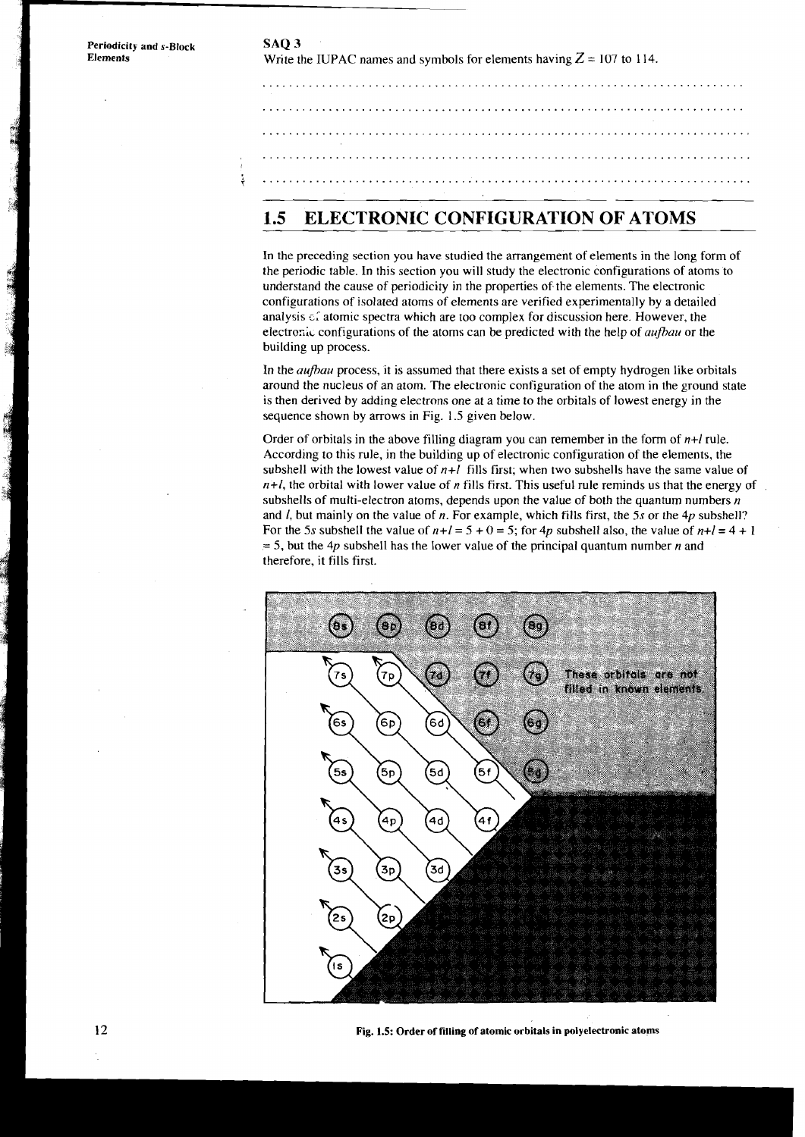**Periodicity and s-Block** SAQ 3<br>**Elements** Write the state of the state of the state of the state of the state of the state of the state of the state of the state of the state of the state of the state of the state of the Write the IUPAC names and symbols for elements having  $Z = 107$  to 114. Į

# **1.5 ELECTRONIC CONFIGURATION OF ATOMS**

In the preceding section you have studied the arrangement of elements in the long form of the periodic table. In this section you will study the electronic configurations of atoms to understand the cause of periodicity in the properties of the elements. The electronic configurations of isolated atoms of elements are verified experimentally by a detailed analysis  $\epsilon$  atomic spectra which are too complex for discussion here. However, the electras;~ configurations of the atoms can be predicted with the help of *auflau* or the building up process.

In the *aufiau* process, it is assumed that there exists a set of empty hydrogen like orbitals around the nucleus of an atom. The electronic configuration of the atom in the ground state is then derived by adding electrons one at a time to the orbitals of lowest energy in the sequence shown by arrows in Fig. 1.5 given below.

Order of orbitals in the above filling diagram you can remember in the form of *n+l* rule. According to this rule, in the building up of electronic configuration of the elements, the subshell with the lowest value of  $n+l$  fills first; when two subshells have the same value of *n+l,* the orbital with lower value of *n* fills first. This useful rule reminds us that the energy of subshells of multi-electron atoms, depends upon the value of both the quantum numbers *n*  and *I,* but mainly on the value of n. For example, which fills first, the 5s or the **4p** subshell? For the 5s subshell the value of  $n+l = 5 + 0 = 5$ ; for  $4p$  subshell also, the value of  $n+l = 4 + 1 = 5$ , but the  $4p$  subshell has the lower value of the principal quantum number *n* and therefore, it fills first.



Fig. 1.5: Order of filling of atomic orbitals in polyelectronic atoms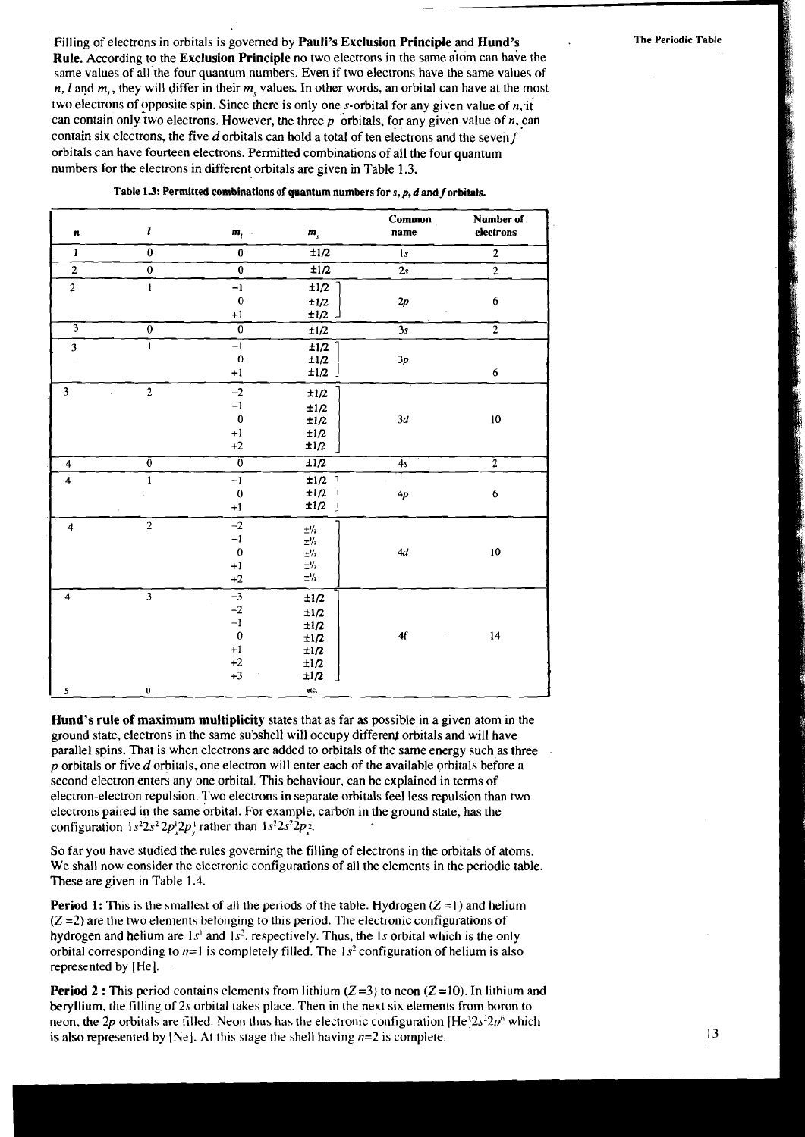Filling of electrons in orbitals is governed by **Pauli's Exclusion Principle** and **Hund's** The Periodic Table **Rule.** According to the **Exclusion Principle** no two electrons in the same atom can have the same values of all the four quantum numbers. Even if two electrons have the same values of  $n, l$  and  $m$ ,, they will differ in their  $m_l$  values. In other words, an orbital can have at the most two electrons of opposite spin. Since there is only one  $s$ -orbital for any given value of  $n$ , it can contain only two electrons. However, the three  $p$  orbitals, for any given value of  $n$ , can contain six electrons, the five  $d$  orbitals can hold a total of ten electrons and the seven  $f$ orbitals can have fourteen electrons. Permitted combinations of all the four quantum numbers for the electrons in different orbitals are given in Table 1.3.

| n                       | $\boldsymbol{l}$        | $m_{\tilde{l}}$           | $\pmb{m}_j$          | Common<br>name    | Number of<br>electrons |
|-------------------------|-------------------------|---------------------------|----------------------|-------------------|------------------------|
| $\mathbf{1}$            | $\pmb{0}$               | $\pmb{0}$                 | ±1/2                 | 1s                | $\overline{2}$         |
| $\overline{2}$          | $\overline{\mathbf{0}}$ | $\overline{\mathbf{0}}$   | $\overline{\pm 1/2}$ | 2s                | $\overline{2}$         |
| $\overline{a}$          | $\pmb{\text{I}}$        | $-1$                      | ±1/2                 |                   |                        |
|                         |                         | $\mathbf{0}$              | $\pm1/2$             | $2\mathfrak{p}$   | 6                      |
|                         |                         | $+1$                      | $\pm 1/2$            |                   |                        |
|                         | $\overline{0}$          | $\overline{0}$            | ±1/2                 | $\overline{3s}$   | $\overline{2}$         |
| 3                       | $\overline{1}$          | $\overline{-1}$           | ±1/2                 |                   |                        |
|                         |                         | $\bf{0}$                  | ±1/2                 | $3p\,$            |                        |
|                         |                         | $\pm 1$                   | ±1/2                 |                   | $\bf 6$                |
| 3                       | $\overline{\mathbf{c}}$ | $-2$                      | ±1/2                 |                   |                        |
|                         |                         | $-1$                      | $\pm 1/2$            |                   |                        |
|                         |                         | $\pmb{0}$                 | ±1/2                 | 3d                | $10\,$                 |
|                         |                         | $+1$                      | ±1/2                 |                   |                        |
|                         |                         | $\mathbf{+2}$             | ±1/2                 |                   |                        |
| $\overline{\mathbf{4}}$ | $\overline{0}$          | $\overline{\mathfrak{o}}$ | $\pm 1/2$            | 4s                | $\overline{2}$         |
| $\overline{\mathbf{4}}$ | $\mathbf{1}$            | $-1$                      | ±1/2                 |                   |                        |
|                         |                         | $\bf{0}$                  | ±1/2                 | 4p                | 6                      |
|                         |                         | $+1$                      | ±1/2                 |                   |                        |
| 4                       | $\overline{2}$          | $-2$                      | $\pm\frac{1}{2}$     |                   |                        |
|                         |                         | $^{\rm -1}$               | $\pm\%$              |                   |                        |
|                         |                         | $\bf{0}$                  | $\pm\frac{1}{2}$     | 4d                | $10$                   |
|                         |                         | $+1$                      | $\pm\frac{1}{2}$     |                   |                        |
|                         |                         | $+2$                      | $\pm\frac{1}{2}$     |                   |                        |
| $\overline{\mathbf{4}}$ | $\overline{\mathbf{3}}$ | $-3$                      | $\pm1/2$             |                   |                        |
|                         |                         | $^{-2}$                   | ±1/2                 |                   |                        |
|                         |                         | $-1$                      | ±1/2                 |                   |                        |
|                         |                         | $\pmb{0}$                 | ±1/2                 | ${\bf 4} {\bf f}$ | 14                     |
|                         |                         | $+1$                      | ±1/2                 |                   |                        |
|                         |                         | $\pm 2$                   | ±1/2                 |                   |                        |
|                         |                         | $+3$                      | ±1/2                 |                   |                        |
| 5                       | $\pmb{0}$               |                           | etc.                 |                   |                        |

**Table 13: Permitted combinations of quantum numbers for** *s,p,* **d and f orbitals.** 

**Hund's rule of maximum multiplicity** states that as far as possible in a given atom in the ground state, electrons in the same subshell will occupy different orbitals and will have parallel spins. That is when electrons are added to orbitals of the same energy such as three  $p$  orbitals or five  $d$  orbitals, one electron will enter each of the available orbitals before a second electron enters any one orbital. This behaviour, can be explained in terms of electron-electron repulsion. Two electrons in separate orbitals feel less repulsion than two electrons paired in the same orbital. For example, carbon in the ground state, has the configuration  $1s^22s^22p^12p^1$  rather than  $1s^22s^22p^2$ .

So far you have studied the rules governing the filling of electrons in the orbitals of atoms. We shall now consider the electronic configurations of all the elements in the periodic table. These are given in Table 1.4.

**Period 1:** This is the smallest of all the periods of the table. Hydrogen  $(Z = I)$  and helium  $(Z = 2)$  are the two elements belonging to this period. The electronic configurations of hydrogen and helium are  $1s<sup>1</sup>$  and  $1s<sup>2</sup>$ , respectively. Thus, the 1s orbital which is the only orbital corresponding to  $n=1$  is completely filled. The  $1 s<sup>2</sup>$  configuration of helium is also represented by [He].

**Period 2 :** This period contains elements from lithium  $(Z=3)$  to neon  $(Z=10)$ . In lithium and beryllium. the filling of *2s* orbital takes place. Then in the next six elements from boron to neon, the 2p orbitals are filled. Neon thus has the electronic configuration  $[He]2s^22p^6$  which is also represented by [Ne]. At this stage the shell having  $n=2$  is complete.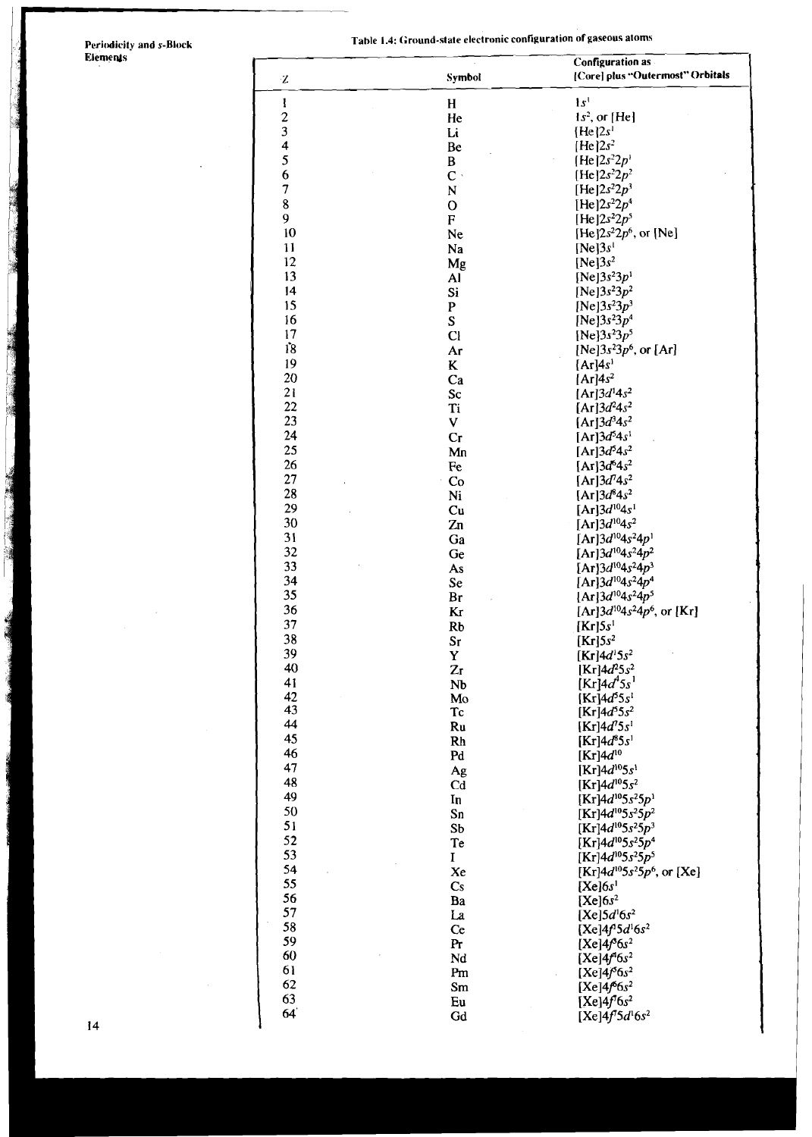# **Periodicity and s-Block**<br>**Elements**

 $\mathbb{R}^2$ 

 $\overline{a}$ 

Table 1.4: Ground-state electronic configuration of gaseous atoms

| Z                       | Symbol                 | <b>Configuration as</b><br>[Core] plus "Outermost" Orbitals |
|-------------------------|------------------------|-------------------------------------------------------------|
| $\mathbf{I}$            | H                      | 1s <sup>1</sup>                                             |
| $\overline{\mathbf{c}}$ | He                     | $1s^2$ , or [He]                                            |
| 3                       | Li                     | $[He]2s^1$                                                  |
| 4                       | Be                     | $[He]2s^2$                                                  |
| 5                       | $\, {\bf B}$           | $[He]2s^22p'$                                               |
| 6                       | $\mathbf{C}$ .         | [He] $2s^22p^2$                                             |
| $\overline{7}$          | $\mathbf N$            | [He] $2s^22p^3$                                             |
| $\bf 8$                 | $\mathbf O$            | [He] $2s^22p^4$                                             |
| 9                       | $\mathbf F$            | [He] $2s^22p^5$                                             |
| 10                      | Ne                     | [He] $2s^22p^6$ , or [Ne]                                   |
| 11                      | Na                     | [Ne]3s <sup>1</sup>                                         |
| 12                      | Mg                     | $[Ne]3s^2$                                                  |
| 13                      | Al                     | [Ne] $3s^23p^1$                                             |
| 14                      | Si                     | [Ne] $3s^23p^2$                                             |
| 15                      | ${\bf P}$              | [Ne] $3s^23p^3$                                             |
| 16                      | S                      | [Ne] $3s^23p^4$                                             |
| 17                      | Cl                     | [Ne] $3s^23p^5$                                             |
| 18                      | Ar                     | [Ne] $3s^23p^6$ , or [Ar]                                   |
| 19                      | K                      | [Ar]4s <sup>1</sup>                                         |
| 20                      | Ca                     | $[Ar]4s^2$                                                  |
| 21                      | Sc                     | [Ar] $3d^{1}4s^{2}$                                         |
| 22                      | Ti                     | [Ar] $3d^24s^2$                                             |
| 23                      | V                      | [Ar] $3d^{3}4s^{2}$                                         |
| 24                      | Cr                     | [Ar] $3d^{5}4s^{1}$                                         |
| 25                      | Mn                     | [Ar] $3d^54s^2$                                             |
| 26                      | Fe                     | [Ar] $3d^{6}4s^{2}$                                         |
| 27                      | Co                     | $[Ar]3d^{7}4s^{2}$                                          |
| 28                      | Ni                     | $[Ar]3d^{8}4s^{2}$                                          |
| 29                      | Cu                     | [Ar] $3d^{10}4s^1$                                          |
| 30                      | Zn                     | [Ar] $3d^{10}4s^2$                                          |
| 31                      | Ga                     | [Ar] $3d^{10}4s^24p^1$                                      |
| 32                      | Ge                     | [Ar] $3d^{10}4s^24p^2$                                      |
| 33                      | As                     | [Ar] $3d^{10}4s^24p^3$                                      |
| 34                      | Se                     | [Ar] $3d^{10}4s^24p^4$                                      |
| 35                      | Br                     | $[Ar]3d^{10}4s^24p^5$                                       |
| 36                      | Кr                     | $[Ar]3d^{10}4s^24p^6$ , or $[Kr]$                           |
| 37                      | <b>Rb</b>              | [Kr]5s <sup>1</sup>                                         |
| 38                      | $S_{\Gamma}$           | $[Kr]$ 5s <sup>2</sup>                                      |
| 39                      | Y                      | [Kr] $4d^{1}5s^{2}$                                         |
| 40                      | $Z_{I}$                | [Kr] $4d^{2}5s^{2}$                                         |
| 41                      | N <sub>b</sub>         | [Kr] $4d^{4}5s^{1}$                                         |
| 42                      | Mo                     | $[Kr]4d^{5}5s^{1}$                                          |
| 43                      | Tc                     | $[Kr]$ 4d <sup>5</sup> 5s <sup>2</sup>                      |
| 44                      | Ru                     | [Kr] $4d^{7}5s^{1}$                                         |
| 45                      | Rh                     | $[Kr]4d^{8}5s^{1}$                                          |
| 46                      | Pd                     | [ $Kr$ ]4 $d^{10}$                                          |
| 47                      | Ag                     | [Kr] $4d^{10}5s^1$                                          |
| 48                      | Cd                     | [Kr] $4d^{10}5s^2$                                          |
| 49                      | In                     | [Kr] $4d^{10}5s^25p^1$                                      |
| 50                      | Sn                     | [Kr] $4d^{10}5s^25p^2$                                      |
| 51                      | S <sub>b</sub>         | [Kr] $4d^{10}5s^25p^3$                                      |
| 52                      | Te                     | [Kr] $4d^{10}5s^25p^4$                                      |
| 53                      | I                      | [Kr] $4d^{10}5s^25p^5$                                      |
| 54                      | Xe                     | [Kr] $4d^{10}5s^25p^6$ , or [Xe]                            |
| 55                      | $\mathbf{C}\mathbf{s}$ | [Xe]6s <sup>1</sup>                                         |
| 56                      | Ba                     | $[Xe]6s^2$                                                  |
| 57                      | La                     | [Xe] $5d16s2$                                               |
| 58                      | Ce                     | $[Xe]4f^15d^16s^2$                                          |
| 59                      | Pr                     | [Xe] $4f^36s^2$                                             |
| 60                      | Nd                     | [Xe] $4f^46s^2$                                             |
| 61                      | Pm                     | [Xe] $4/6s^2$                                               |
| 62                      | Sm                     | $[Xe]4f^66s^2$                                              |
| 63                      | Eu                     | [Xe] $4f^76s^2$                                             |
| 64                      | Gd                     | [Xe] $4f^{7}5d^{1}6s^{2}$                                   |
|                         |                        |                                                             |

 $\overline{14}$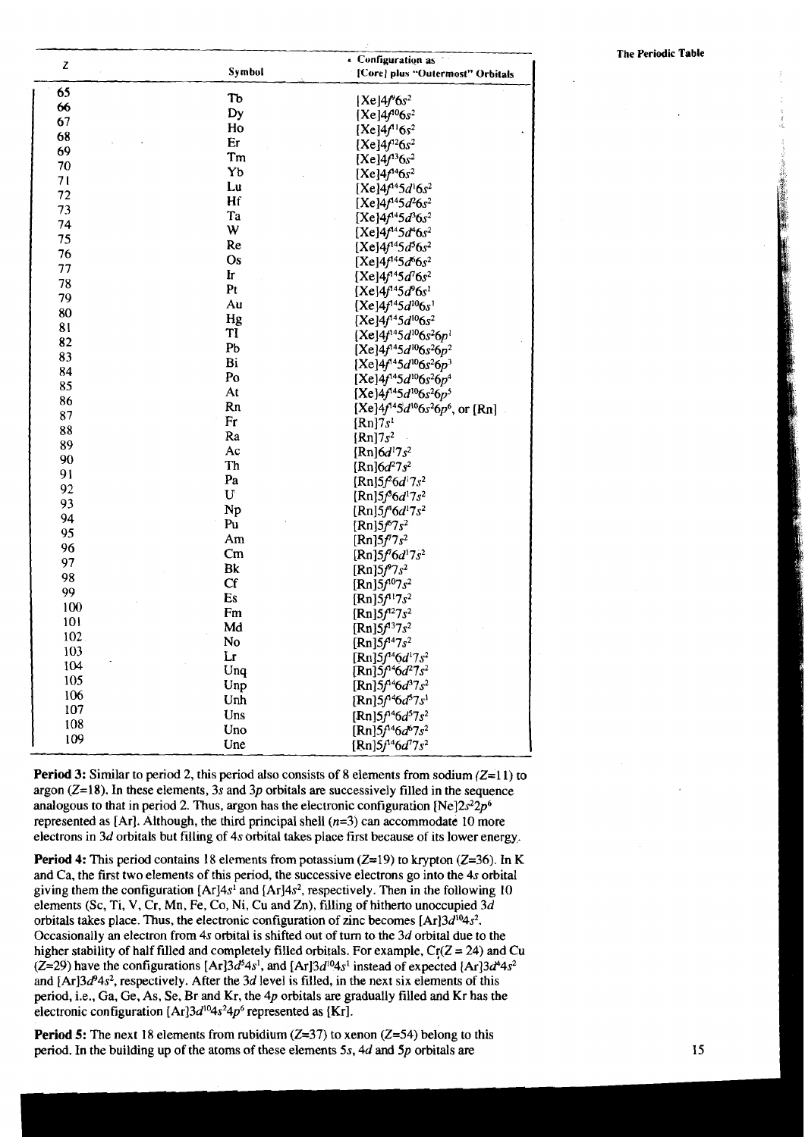| Z   |               | - Configuration as                                                    |
|-----|---------------|-----------------------------------------------------------------------|
|     | Symbol        | [Core] plus "Outermost" Orbitals                                      |
| 65  | Tь            | $[Xe]4f^96s^2$                                                        |
| 66  | Dy            | $[Xe]4f^{10}6s^2$                                                     |
| 67  | Ho            | $[Xe]4f'{}^{1}6s^{2}$                                                 |
| 68  | Er            | $[Xe]4f^{12}6s^2$                                                     |
| 69  | Tm            | $[Xe]4f^{13}6s^2$                                                     |
| 70  | Yb            | $[Xe]4f^{14}6s^2$                                                     |
| 71  | Lu            | [Xe] $4f^{14}5d^{1}6s^{2}$                                            |
| 72  | Hf            | [Xe] $4f^{14}5d^{2}6s^{2}$                                            |
| 73  | Ta            | [Xe] $4f^{14}5d^{3}6s^{2}$                                            |
| 74  | W             | $[Xe]4f^{14}5d^{4}6s^{2}$                                             |
| 75  | Re            | $[Xe]4f^{14}5d^{5}6s^{2}$                                             |
| 76  | Os            | $[Xe]4f^{14}5d^{6}6s^2$                                               |
| 77  | Ir            | [Xe] $4f^{14}5d^{7}6s^{2}$                                            |
| 78  | Pt            | $[Xe]4f^{14}5d^{9}6s^{1}$                                             |
| 79  | Au            | $[Xe]4f^{14}5d^{10}6s$ <sup>1</sup>                                   |
| 80  | Hg            | [Xe] $4f^{14}5d^{10}6s^2$                                             |
| 81  | TI            | $[Xe]4f^{14}5d^{10}6s^26p^1$                                          |
| 82  | Pb            | [Xe] $4f^{45}d^{10}6s^26p^2$                                          |
| 83  | Bi            | $[Xe]4f^{14}5d^{10}6s^26p^3$                                          |
| 84  | Po            | [Xe]4f <sup>14</sup> 5d <sup>10</sup> 6s <sup>2</sup> 6p <sup>4</sup> |
| 85  | At            | $[Xe]4f^{14}5d^{10}6s^26p^5$                                          |
| 86  | Rn            | $[Xe]4f^{4}5d^{10}6s^26p^6$ , or [Rn]                                 |
| 87  | Fr            | $\left[\text{Rn}\right]$ 7 $s^1$                                      |
| 88  | Ra            | $[Rn]$ 7s <sup>2</sup>                                                |
| 89  | Ac            | [Rn] $6d^{17}s^2$                                                     |
| 90  | Th            | $[Rn]6d^27s^2$                                                        |
| 91  | Pa            | [Rn] $5f^26d^17s^2$                                                   |
| 92  | U             | [Rn] $5f^36d^17s^2$                                                   |
| 93  | Np            | [Rn] $5f^46d^17s^2$                                                   |
| 94  | Pu            | [ $Rn$ ]5 $f^{6}7s^2$                                                 |
| 95  | Am            | [ $Rn$ ]5 $f^{7}7s^{2}$                                               |
| 96  | $\mathsf{Cm}$ | $[Rn]5f^{\dagger}6d^{\dagger}7s^2$                                    |
| 97  | Bk            | $[Rn]5f^{9}7s^{2}$                                                    |
| 98  | Cf            | $[Rn]5f^{07}s^2$                                                      |
| 99  | Es            | $[Rn]5f^{11}7s^2$                                                     |
| 100 | Fm            | $[Rn]5f^{12}7s^2$                                                     |
| 101 | Md            | $[Rn]5f^{13}7s^2$                                                     |
| 102 | No            | $[Rn]5f^{14}7s^2$                                                     |
| 103 | Lr            | $[Rn]5f^{14}6d^{17}s^2$                                               |
| 104 | Unq           | [Rn] $5f^46d^27s^2$                                                   |
| 105 | Unp           | [Rn] $5f^{14}6d^{3}7s^{2}$                                            |
| 106 | Unh           | [Rn] $5f^{14}6d^{5}7s^{1}$                                            |
| 107 | Uns           | [Rn] $5f^{14}6d^{5}7s^2$                                              |
| 108 | Uno           | [Rn] $5f^{14}6d^{6}7s^2$                                              |
| 109 | Une           | [Rn] $5f^{14}6d^{7}7s^{2}$                                            |

**Period 3:** Similar to period 2, this period also consists of 8 elements from sodium  $(Z=11)$  to argon  $(Z=18)$ . In these elements, 3s and 3p orbitals are successively filled in the sequence analogous to that in period 2. Thus, argon has the electronic configuration [Ne] $2s^22p^6$ represented as [Ar]. Although, the third principal shell  $(n=3)$  can accommodate 10 more electrons in 3d orbitals but filling of 4s orbital takes place first because of its lower energy.

**Period 4:** This period contains 18 elements from potassium  $(Z=19)$  to krypton  $(Z=36)$ . In K and Ca, the first two elements of this period, the successive electrons go into the 4s orbital giving them the configuration  $[Ar]4s^1$  and  $[Ar]4s^2$ , respectively. Then in the following 10 elements (Sc, Ti, V, Cr, Mn, Fe, Co, Ni, Cu and Zn), filling of hitherto unoccupied  $3d$ orbitals takes place. Thus, the electronic configuration of zinc becomes  $[Ar]3d^{10}4s^2$ . Occasionally an electron from 4s orbital is shifted out of turn to the  $3d$  orbital due to the higher stability of half filled and completely filled orbitals. For example,  $Cr(Z = 24)$  and Cu  $(Z=29)$  have the configurations  $[Ar]3d^{5}4s^{1}$ , and  $[Ar]3d^{10}4s^{1}$  instead of expected  $[Ar]3d^{4}4s^{2}$ and  $[Ar]3d^94s^2$ , respectively. After the 3d level is filled, in the next six elements of this period, i.e., Ga, Ge, As, Se, Br and Kr, the 4p orbitals are gradually filled and Kr has the electronic configuration [Ar] $3d^{10}4s^24p^6$  represented as [Kr].

**Period 5:** The next 18 elements from rubidium ( $Z=37$ ) to xenon ( $Z=54$ ) belong to this period. In the building up of the atoms of these elements  $5s$ , 4d and  $5p$  orbitals are

### **The Periodic Table**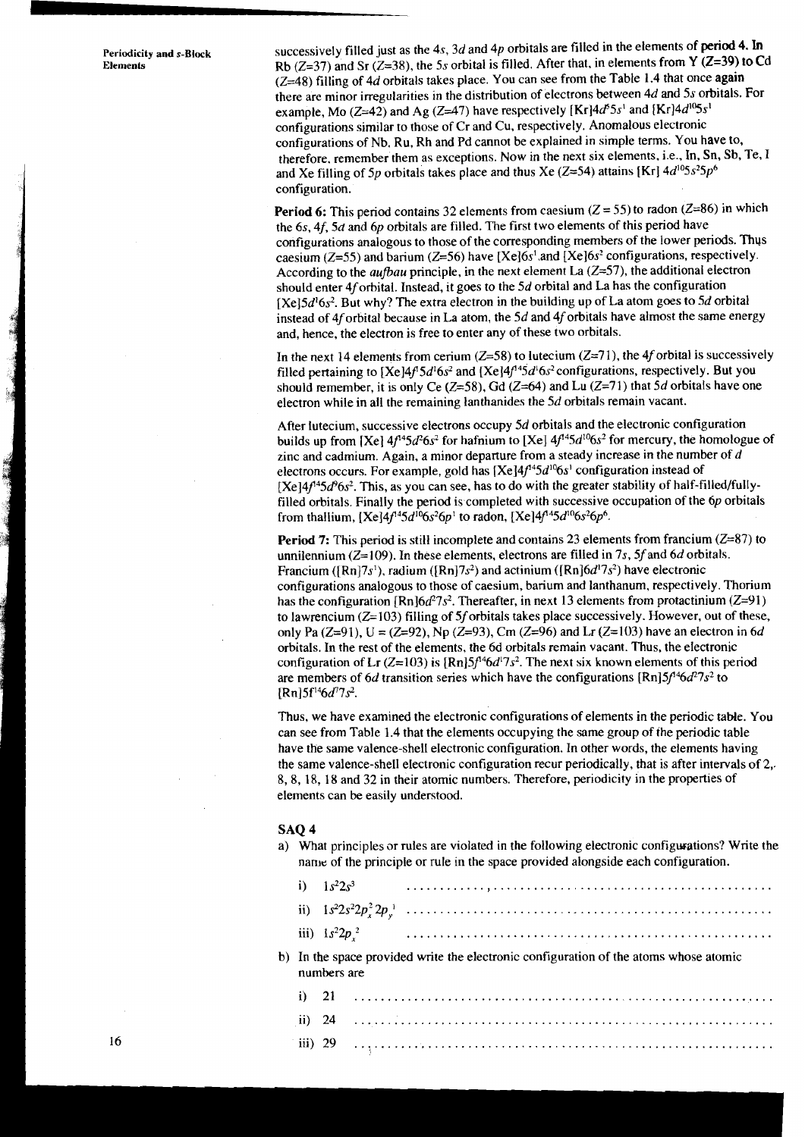**Periodicity Elements** 

and  $s$ -Block successively filled just as the 4s, 3d and 4p orbitals are filled in the elements of period 4. In Rb  $(Z=37)$  and Sr  $(Z=38)$ , the 5s orbital is filled. After that, in elements from **Y**  $(Z=39)$  to Cd  $(Z=48)$  filling of 4d orbitals takes place. You can see from the Table 1.4 that once again there are minor irregularities in the distribution of electrons between 4d and 5s orbitals. For example, Mo  $(Z=42)$  and Ag  $(Z=47)$  have respectively [Kr] $4d^{5}$ 3s' and [Kr] $4d^{15}$ 3s' configurations similar to those of Cr and Cu, respectively. Anomalous electronic configurations of Nb, Ru, Rh and Pd cannot be explained in simple terms. You have to, therefore, remember them as exceptions. Now in the next six elements, i.e., In, Sn, Sb, Te, I and Xe filling of 5p orbitals takes place and thus Xe (Z=54) attains [Kr]  $4d^{0.5}$ s<sup>2</sup>5p<sup>6</sup> configuration.

> **Period 6:** This period contains 32 elements from caesium ( $Z = 55$ ) to radon ( $Z = 86$ ) in which the 6s, 4f, 5d and 6p orbitals are filled. The first two elements of this period have configurations analogous to those of the corresponding members of the lower periods. Thus caesium ( $Z=55$ ) and barium ( $Z=56$ ) have [ $Xe$ ]6s<sup>1</sup>.and [ $Xe$ ]6s<sup>2</sup> configurations, respectively. According to the *aufbau* principle, in the next element La  $(Z=57)$ , the additional electron should enter 4f orbital. Instead, it goes to the 5d orbital and La has the configuration  $[Xe]5d<sup>1</sup>6s<sup>2</sup>$ . But why? The extra electron in the building up of La atom goes to 5d orbital instead of 4f orbital because in La atom, the  $5d$  and  $4f$  orbitals have almost the same energy and, hence, the electron is free to enter any of these two orbitals.

In the next 14 elements from cerium ( $Z=58$ ) to lutecium ( $Z=71$ ), the 4f orbital is successively filled pertaining to [Xe]4f<sup>1</sup>5d<sup>1</sup>6s<sup>2</sup> and [Xe]4f<sup>145</sup>d<sup>1</sup>6s<sup>2</sup> configurations, respectively. But you should remember, it is only Ce  $(Z=58)$ , Gd  $(Z=64)$  and Lu  $(Z=71)$  that 5d orbitals have one electron while in all the remaining lanthanides the 5d orbitals remain vacant.

After lutecium, successive electrons occupy 5d orbitals and the electronic configuration builds up from [Xe]  $4f^{14}5d^{2}6s^{2}$  for hafnium to [Xe]  $4f^{14}5d^{10}6s^{2}$  for mercury, the homologue of zinc and cadmium. Again, a minor departure from a steady increase in the number of  $d$ electrons occurs. For example, gold has  $[Xe]4f^{4}5d^{10}6s^{1}$  configuration instead of  $[Xe]4f^{4}5d^{9}6s^{2}$ . This, as you can see, has to do with the greater stability of half-filled/fullyfilled orbitals. Finally the period is.completed with successive occupation of the *6p* orbitals from thallium,  $[Xe]4f^{14}5d^{10}6s^26p^1$  to radon,  $[Xe]4f^{14}5d^{10}6s^26p^6$ .

**Period 7:** This period is still incomplete and contains 23 elements from francium ( $Z=87$ ) to unnilennium ( $Z=109$ ). In these elements, electrons are filled in 7s, 5f and 6d orbitals. Francium ([Rn]7s<sup>1</sup>), radium ([Rn]7s<sup>2</sup>) and actinium ([Rn]6 $d^{17}$ s<sup>2</sup>) have electronic configurations analogous to those of caesium, barium and lanthanum, respectively. Thorium has the configuration  $[Rn]6d^27s^2$ . Thereafter, in next 13 elements from protactinium (Z=91) to lawrencium ( $Z=103$ ) filling of 5f orbitals takes place successively. However, out of these, only Pa (Z=91),  $U = (Z=92)$ , Np (Z=93), Cm (Z=96) and Lr (Z=103) have an electron in 6d orbitals. In the rest of the elements, the 6d orbitals remain vacant. Thus, the electronic configuration of Lr ( $Z=103$ ) is  $\{Rn\}5f^{46}d^{17}s^2$ . The next six known elements of this period are members of 6d transition series which have the configurations  $[\text{Rn}]5f^{4}6d^{2}7s^{2}$  to  $[Rn]$ 5f<sup>14</sup>6d<sup>7</sup>7s<sup>2</sup>.

Thus, we have examined the electronic configurations of elements in the periodic table. You can see from Table 1.4 that the elements occupying the same group of the periodic table have the same valence-shell electronic configuration. In other words, the elements having the same valence-shell electronic configuration recur periodically, that is after intervals of 2,. 8, 8, 18, 18 and 32 in their atomic numbers. Therefore, periodicity in the properties of elements can be easily understood.

### SAQ 4

a) What principles or rules are violated in the following electronic configwations? Write the name of the principle or rule in the space provided alongside each configuration.

| b) In the space provided write the electronic configuration of the atoms whose atomic<br>numbers are |  |  |  |  |  |  |  |  |  |  |  |
|------------------------------------------------------------------------------------------------------|--|--|--|--|--|--|--|--|--|--|--|
|                                                                                                      |  |  |  |  |  |  |  |  |  |  |  |
|                                                                                                      |  |  |  |  |  |  |  |  |  |  |  |

iii) 29 ...............................................................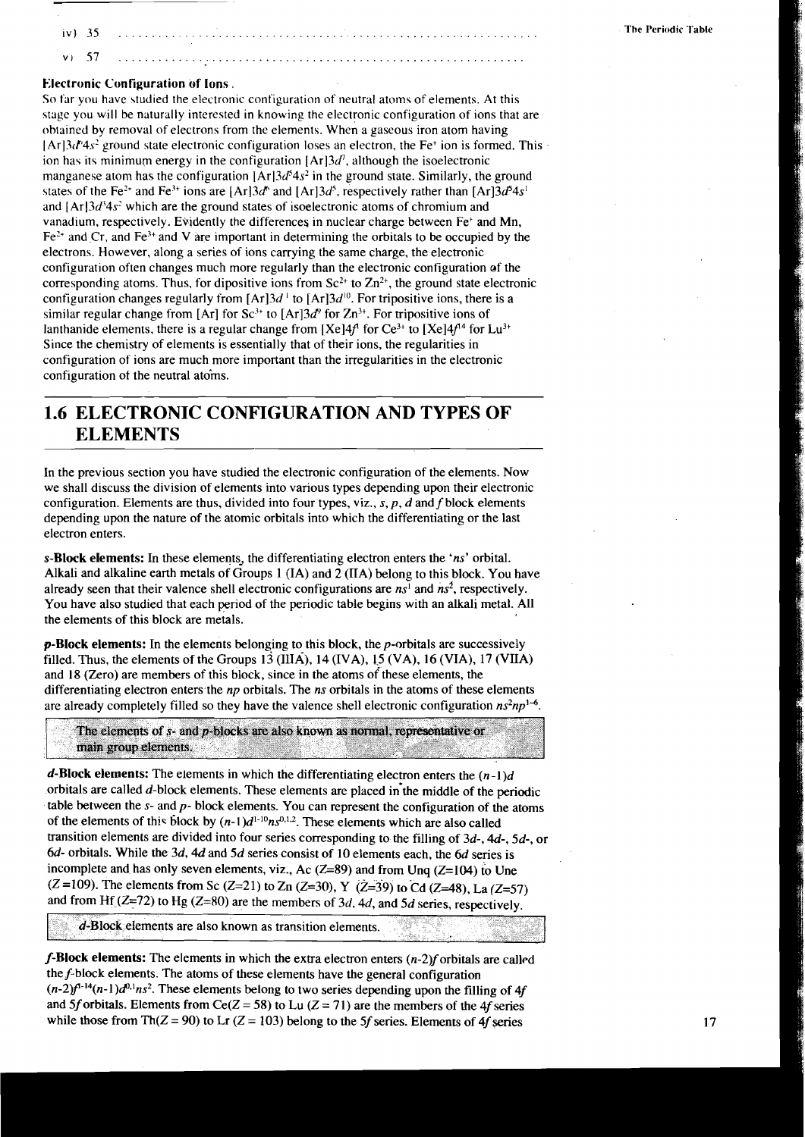$iv$  35  $57$ 

### **Electronic Configuration of Ions** .

 $\mathbf{v}$ 

**So** far you have studied the electronic configuration of neutral atoms of elements. At this stagc you will be naturally interested in knowing the electronic configuration of ions that are obtained by removal of electrons from the elements. when a gaseous iron atom having  $[Ar3d^4s^2]$  ground state electronic configuration loses an electron, the Fe<sup>+</sup> ion is formed. This ion has its minimum energy in the configuration  $[Ar]3d^7$ , although the isoelectronic manganese atom has the configuration  $|Ar|3d^{5}4s^{2}$  in the ground state. Similarly, the ground states of the Fe<sup>2+</sup> and Fe<sup>3+</sup> ions are  $[Ar]3d^6$  and  $[Ar]3d^5$ , respectively rather than  $[Ar]3d^54s^1$ and  $[Ar]3d<sup>3</sup>4s<sup>2</sup>$  which are the ground states of isoelectronic atoms of chromium and vanadium, respectively. Evidently the differences in nuclear charge between Fe<sup>+</sup> and Mn,  $Fe<sup>2+</sup>$  and Cr, and Fe<sup>3+</sup> and V are important in determining the orbitals to be occupied by the electrons. However, along a series of ions carrying the same charge, the electronic configuration often changes much more regularly than the electronic configuration of the corresponding atoms. Thus, for dipositive ions from  $Sc^{2+}$  to  $Zn^{2+}$ , the ground state electronic configuration changes regularly from  $[Ar]3d^{\perp}$  to  $[Ar]3d^{10}$ . For tripositive ions, there is a similar regular change from [Ar] for Sc<sup>3+</sup> to [Ar]3 $d^9$  for Zn<sup>3+</sup>. For tripositive ions of lanthanide elements, there is a regular change from  $[Xe]4f$  for  $Ce^{3+}$  to  $[Xe]4f^{4}$  for Lu<sup>3+</sup> Since the chemistry of elements is essentially that of their ions, the regularities in configuration of ions are much more important than the irregularities in the electronic configuration of the neutral atoms.

# **1.6 ELECTRONIC CONFIGURATION AND TYPES OF ELEMENTS**

In the previous section you have studied the electronic configuration of the elements. Now we shall discuss the division of elements into various types depending upon their electronic configuration. Elements are thus, divided into four types, viz., s, p, d and f block elements depending upon the nature of the atomic orbitals into which the differentiating or the last electron enters.

**s-Block eIements:** In these elements, the differentiating electron enters the 'ns' orbital. Alkali and alkaline earth metals of Groups 1 (IA) and 2 (IIA) belong to this block. You have already seen that their valence shell electronic configurations are  $ns<sup>1</sup>$  and  $ns<sup>2</sup>$ , respectively. You have also studied that each period of the periodic table begins with an alkali metal. All the elements of this block are metals.

**p-BIock elements:** In the elements belonging to this block, the p-orbitals are successively filled. Thus, the elements of the Groups  $13 \text{ (IIIA)}$ ,  $14 \text{ (IVA)}$ ,  $15 \text{ (VA)}$ ,  $16 \text{ (VIA)}$ ,  $17 \text{ (VIIA)}$ and 18 (Zero) are members of this block, since in the atoms of these elements, the differentiating electron enters the  $np$  orbitals. The *ns* orbitals in the atoms of these elements are already completely filled so they have the valence shell electronic configuration  $n s^2 n p^{1-6}$ .

The elements of  $s$ - and  $p$ -blocks are also known as normal, representative or main group elements.

**d-Block elements:** The elements in which the differentiating electron enters the  $(n-1)d$ orbitals are called d-block elements. These elements are placed in'the middle of the periodic table between the  $s$ - and  $p$ - block elements. You can represent the configuration of the atoms of the elements of this block by  $(n-1)d^{1-10}ns^{0,1,2}$ . These elements which are also called transition elements are divided into four series corresponding to the filling of 3d-, **4d-,** 5d-, or 6d- orbitals. While the 3d, **4d** and 5d series consist of 10 elements each, the 6d series is incomplete and has only seven elements, viz., Ac  $(Z=89)$  and from Unq  $(Z=104)$  to Une  $(Z=109)$ . The elements from Sc  $(Z=21)$  to Zn  $(Z=30)$ , Y  $(Z=39)$  to Cd  $(Z=48)$ , La  $(Z=57)$ and from Hf  $(Z=72)$  to Hg  $(Z=80)$  are the members of 3d, 4d, and 5d series, respectively.

d-Block elements are also known as transition elements.

**f-Block elements:** The elements in which the extra electron enters (n-2)f orbitals are called thef-block elements. The atoms of these elements have the general configuration  $(n-2)f<sup>1-14</sup>(n-1)d<sup>0,1</sup>ns<sup>2</sup>$ . These elements belong to two series depending upon the filling of 4f and 5f orbitals. Elements from Ce( $Z = 58$ ) to Lu ( $Z = 71$ ) are the members of the 4f series while those from Th( $Z = 90$ ) to Lr ( $Z = 103$ ) belong to the 5f series. Elements of 4f series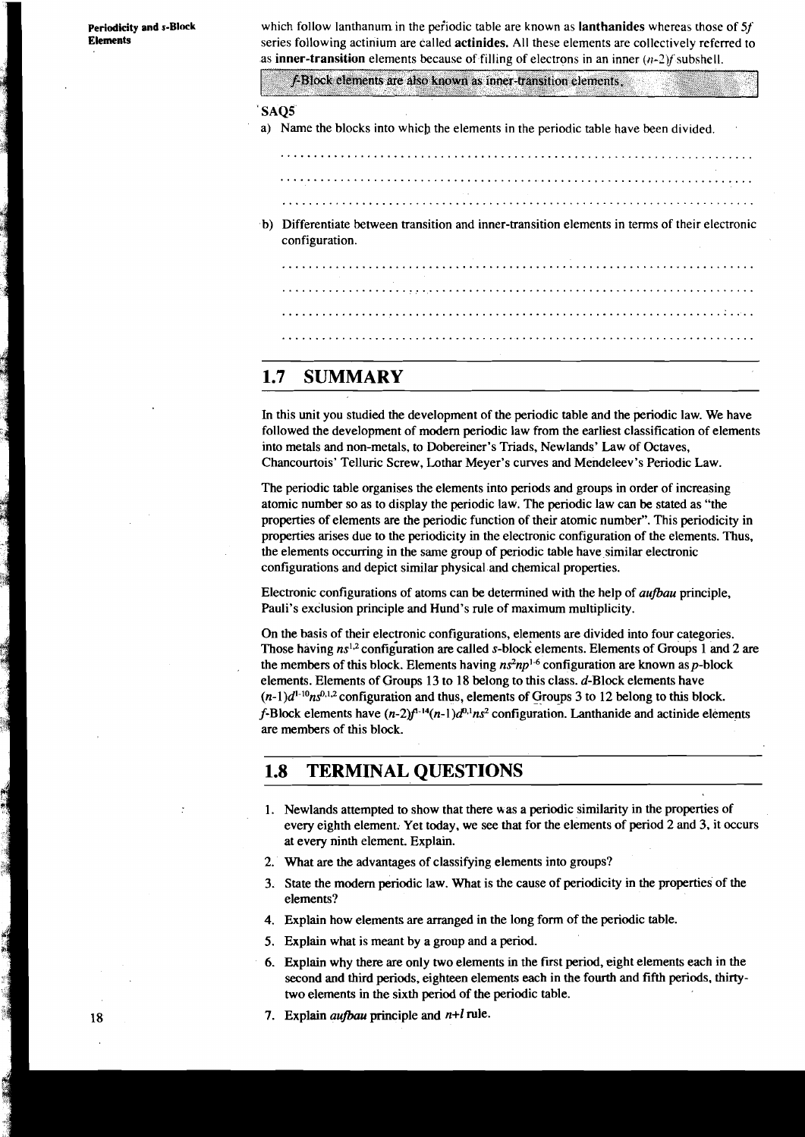**periodicity and s-Block Elements** 

which follow lanthanum in the periodic table are known as **lanthanides** whereas those of 5*f*. series following actinium are called actinides. All these elements are collectively referred to as **inner-transition** elements because of filling of electrons in an inner  $(n-2)f$  subshell.

f-Block elements are also known as inner-transition elements.

### ' SAQS

a) Name the blocks into which the elements in the periodic table have been divided.

- b) Differentiate between transition and inner-transition elements in terms of their electronic configuration.
	- 1000 1000 1000 1000 1000 1000 1000 1000 1000 1000 1000 1000 1000 1000 1000 1000

## **1.7 SUMMARY**

In this unit you studied the development of the periodic table and the periodic law. We have followed the development of modem periodic law from the earliest classification of elements into metals and non-metals, to Dobereiner's Triads, Newlands' Law of Octaves, Chancourtois' Telluric Screw, Lothar Meyer's curves and Mendeleev's Periodic Law.

The periodic table organises the elements into periods and groups in order of increasing atomic number so as to display the periodic law. The periodic law can be stated as "the properties of elements are the periodic function of their atomic number". This periodicity in properties arises due to the periodicity in the electronic configuration of the elements. Thus, the elements occurring in the same group of periodic table have similar electronic configurations and depict similar physical and chemical properties.

Electronic configurations of atoms can be determined with the help of **aufbau** principle, Pauli's exclusion principle and Hund's rule of maximum multiplicity.

On the basis of their electronic configurations, elements are divided into four categories. Those having  $ns^{1,2}$  configuration are called s-block elements. Elements of Groups 1 and 2 are the members of this block. Elements having  $n s^2 n p^{1-6}$  configuration are known as p-block elements. Elements of Groups 13 to 18 belong to this class. d-Block elements have  $(n-1)d^{1-10}ns^{0,1,2}$  configuration and thus, elements of Groups 3 to 12 belong to this block. f-Block elements have  $(n-2)$ f<sup>-14</sup> $(n-1)d^{0.1}ns^2$  configuration. Lanthanide and actinide elements are members of this block.

# **1.8 TERMINAL QUESTIONS**

- 1. Newlands attempted to show that there was a periodic similarity in the properties of every eighth element. Yet today, we see that for the elements of period 2 and 3, it occurs at every ninth element. Explain.
- 2. What are the advantages of classifying elements into groups?
- 3. State the modem periodic law. What is the cause of periodicity in the properties of the elements?
- 4. Explain how elements are arranged in the long form of the periodic table.
- 5. Explain what is meant by a group and a period.
- 6. Explain why there are only two elements in the first period, eight elements each in the second and third periods, eighteen elements each in the fourth and fifth periods. thirtytwo elements in the sixth period of the periodic table.
- 7. Explain **aufbau** principle and n+l rule.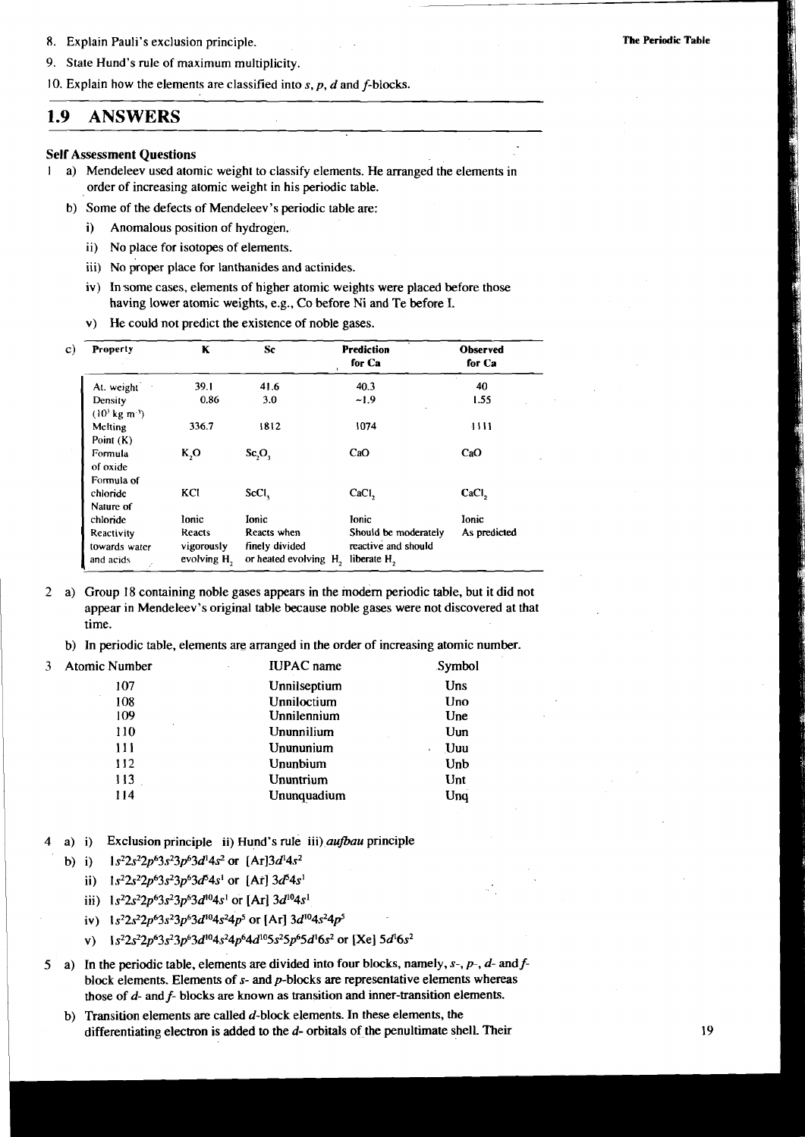8. Explain Pauli's exclusion principle.

9. State Hund's rule of maximum multiplicity.

10. Explain how the elements are classified into  $s$ ,  $p$ ,  $d$  and  $f$ -blocks.

#### 1.9 **ANSWERS**

 $\mathbf{1}$ 

## **Self Assessment Questions**

- a) Mendeleev used atomic weight to classify elements. He arranged the elements in order of increasing atomic weight in his periodic table.
	- b) Some of the defects of Mendeleev's periodic table are:
		- $i)$ Anomalous position of hydrogen.
		- ii) No place for isotopes of elements.
		- iii) No proper place for lanthanides and actinides.
		- iv) In some cases, elements of higher atomic weights were placed before those having lower atomic weights, e.g., Co before Ni and Te before I.
		- v) He could not predict the existence of noble gases.

| Property                                 | K                                               | Sc                                                                 | <b>Prediction</b><br>for Ca                 | <b>Observed</b><br>for Ca |
|------------------------------------------|-------------------------------------------------|--------------------------------------------------------------------|---------------------------------------------|---------------------------|
| At. weight                               | 39.1                                            | 41.6                                                               | 40.3                                        | 40                        |
| Density<br>$(103$ kg m <sup>-3</sup> )   | 0.86                                            | 3.0                                                                | $-1.9$                                      | 1.55                      |
| Melting<br>Point $(K)$                   | 336.7                                           | 1812                                                               | 1074                                        | 4444                      |
| Formula<br>of oxide<br>Formula of        | K, O                                            | Sc, O,                                                             | CaO                                         | CaO                       |
| chloride<br>Nature of                    | KCI                                             | ScCl <sub>1</sub>                                                  | CaCl <sub>2</sub>                           | CaCl <sub>2</sub>         |
| chloride                                 | lonic                                           | <b>Ionic</b>                                                       | <b>lonic</b>                                | <b>Ionic</b>              |
| Reactivity<br>towards water<br>and acids | Reacts<br>vigorously<br>evolving H <sub>2</sub> | Reacts when<br>finely divided<br>or heated evolving H, liberate H, | Should be moderately<br>reactive and should | As predicted              |

- $\overline{2}$ a) Group 18 containing noble gases appears in the modern periodic table, but it did not appear in Mendeleev's original table because noble gases were not discovered at that time.
	- b) In periodic table, elements are arranged in the order of increasing atomic number.
- $\overline{3}$ **Atomic Numl**

114

| Vumber | <b>IUPAC</b> name | Symbol |
|--------|-------------------|--------|
| 107    | Unnilseptium      | Uns    |
| 108    | Unniloctium       | Uno    |
| 109    | Unnilennium       | Une    |
| 110    | Ununnilium        | Uun    |
| 111    | Unununium         | Uuu    |
| 112    | Ununbium          | Unb    |
| 113    | Ununtrium         | Unt    |

Ununquadium

Ung

- Exclusion principle ii) Hund's rule iii) *aufbau* principle  $a)$  i)
	- $1s^22s^22p^63s^23p^63d^14s^2$  or  $[Ar]3d^14s^2$  $b)$  i)
		- ii)  $1s^22s^22p^63s^23p^63d^54s^1$  or [Ar]  $3d^54s^1$
		- iii)  $1s^22s^22p^63s^23p^63d^{10}4s^1$  or [Ar]  $3d^{10}4s^1$
		- iv)  $1s^22s^22p^63s^23p^63d^{10}4s^24p^5$  or [Ar]  $3d^{10}4s^24p^5$
		- $1s^22s^22p^63s^23p^63d^{10}4s^24p^64d^{10}5s^25p^65d^16s^2$  or [Xe]  $5d^16s^2$  $\mathbf{v}$
- 5 a) In the periodic table, elements are divided into four blocks, namely,  $s$ -,  $p$ -,  $d$  and  $f$ block elements. Elements of  $s$ - and  $p$ -blocks are representative elements whereas those of  $d$ - and  $f$ - blocks are known as transition and inner-transition elements.
	- Transition elements are called  $d$ -block elements. In these elements, the  $b)$ differentiating electron is added to the  $d$ - orbitals of the penultimate shell. Their